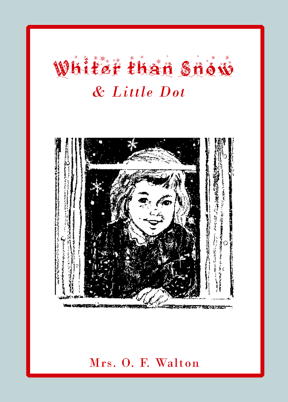# Whiter than Snow & Little Dot



a de santo de la provincia de

Mrs. O. F. Walton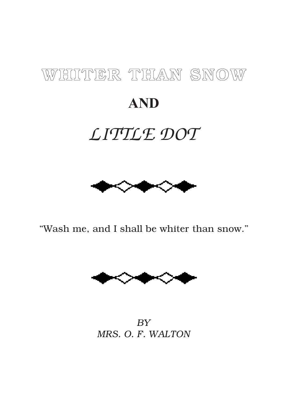# **WHITER THAN SNOW AND** *LITTLE DOT*



"Wash me, and I shall be whiter than snow."



*BY MRS. O. F. WALTON*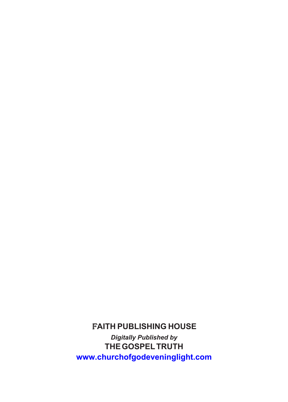FF**AITH PUBLISHING HOUSE**

*Digitally Published by* **THE GOSPEL TRUTH <www.churchofgodeveninglight.com>**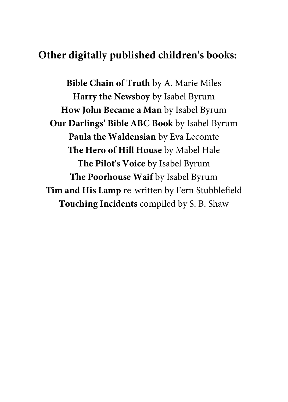#### **Other digitally published children's books:**

**Bible Chain of Truth** by A. Marie Miles **Harry the Newsboy** by Isabel Byrum **How John Became a Man** by Isabel Byrum **Our Darlings' Bible ABC Book** by Isabel Byrum **Paula the Waldensian** by Eva Lecomte **The Hero of Hill House** by Mabel Hale **The Pilot's Voice** by Isabel Byrum **The Poorhouse Waif** by Isabel Byrum **Tim and His Lamp** re-written by Fern Stubblefield **Touching Incidents** compiled by S. B. Shaw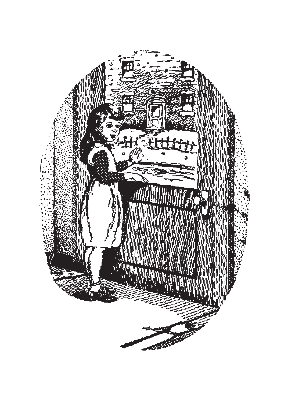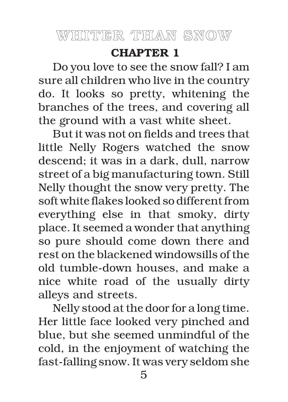# **WHITER THAN SNOW**

## **CHAPTER 1**

Do you love to see the snow fall? I am sure all children who live in the country do. It looks so pretty, whitening the branches of the trees, and covering all the ground with a vast white sheet.

But it was not on fields and trees that little Nelly Rogers watched the snow descend; it was in a dark, dull, narrow street of a big manufacturing town. Still Nelly thought the snow very pretty. The soft white flakes looked so different from everything else in that smoky, dirty place. It seemed a wonder that anything so pure should come down there and rest on the blackened windowsills of the old tumble-down houses, and make a nice white road of the usually dirty alleys and streets.

Nelly stood at the door for a long time. Her little face looked very pinched and blue, but she seemed unmindful of the cold, in the enjoyment of watching the fast-falling snow. It was very seldom she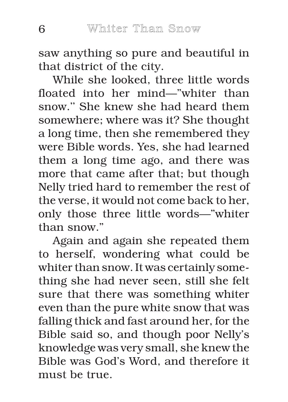saw anything so pure and beautiful in that district of the city.

While she looked, three little words floated into her mind—"whiter than snow.'' She knew she had heard them somewhere; where was it? She thought a long time, then she remembered they were Bible words. Yes, she had learned them a long time ago, and there was more that came after that; but though Nelly tried hard to remember the rest of the verse, it would not come back to her, only those three little words—"whiter than snow."

Again and again she repeated them to herself, wondering what could be whiter than snow. It was certainly something she had never seen, still she felt sure that there was something whiter even than the pure white snow that was falling thick and fast around her, for the Bible said so, and though poor Nelly's knowledge was very small, she knew the Bible was God's Word, and therefore it must be true.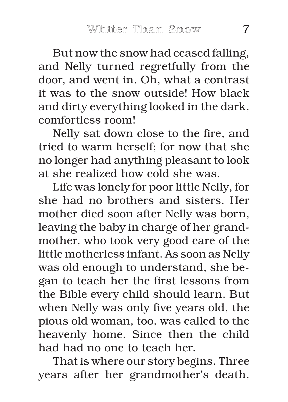But now the snow had ceased falling, and Nelly turned regretfully from the door, and went in. Oh, what a contrast it was to the snow outside! How black and dirty everything looked in the dark, comfortless room!

Nelly sat down close to the fire, and tried to warm herself; for now that she no longer had anything pleasant to look at she realized how cold she was.

Life was lonely for poor little Nelly, for she had no brothers and sisters. Her mother died soon after Nelly was born, leaving the baby in charge of her grandmother, who took very good care of the little motherless infant. As soon as Nelly was old enough to understand, she began to teach her the first lessons from the Bible every child should learn. But when Nelly was only five years old, the pious old woman, too, was called to the heavenly home. Since then the child had had no one to teach her.

That is where our story begins. Three years after her grandmother's death,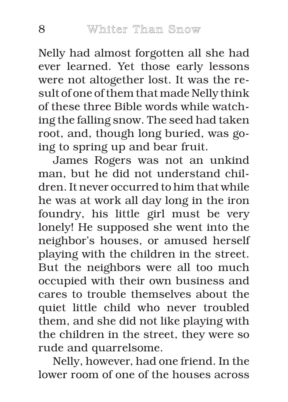Nelly had almost forgotten all she had ever learned. Yet those early lessons were not altogether lost. It was the result of one of them that made Nelly think of these three Bible words while watching the falling snow. The seed had taken root, and, though long buried, was going to spring up and bear fruit.

James Rogers was not an unkind man, but he did not understand children. It never occurred to him that while he was at work all day long in the iron foundry, his little girl must be very lonely! He supposed she went into the neighbor's houses, or amused herself playing with the children in the street. But the neighbors were all too much occupied with their own business and cares to trouble themselves about the quiet little child who never troubled them, and she did not like playing with the children in the street, they were so rude and quarrelsome.

Nelly, however, had one friend. In the lower room of one of the houses across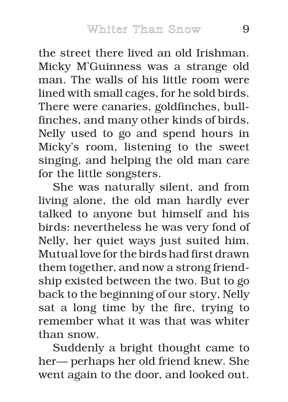the street there lived an old Irishman. Micky M'Guinness was a strange old man. The walls of his little room were lined with small cages, for he sold birds. There were canaries, goldfinches, bullfinches, and many other kinds of birds. Nelly used to go and spend hours in Micky's room, listening to the sweet singing, and helping the old man care for the little songsters.

She was naturally silent, and from living alone, the old man hardly ever talked to anyone but himself and his birds: nevertheless he was very fond of Nelly, her quiet ways just suited him. Mutual love for the birds had first drawn them together, and now a strong friendship existed between the two. But to go back to the beginning of our story, Nelly sat a long time by the fire, trying to remember what it was that was whiter than snow.

Suddenly a bright thought came to her— perhaps her old friend knew. She went again to the door, and looked out.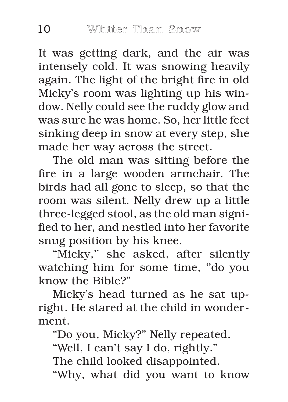It was getting dark, and the air was intensely cold. It was snowing heavily again. The light of the bright fire in old Micky's room was lighting up his window. Nelly could see the ruddy glow and was sure he was home. So, her little feet sinking deep in snow at every step, she made her way across the street.

The old man was sitting before the fire in a large wooden armchair. The birds had all gone to sleep, so that the room was silent. Nelly drew up a little three-legged stool, as the old man signified to her, and nestled into her favorite snug position by his knee.

"Micky,'' she asked, after silently watching him for some time, ''do you know the Bible?"

Micky's head turned as he sat upright. He stared at the child in wonderment.

"Do you, Micky?" Nelly repeated.

"Well, I can't say I do, rightly."

The child looked disappointed.

"Why, what did you want to know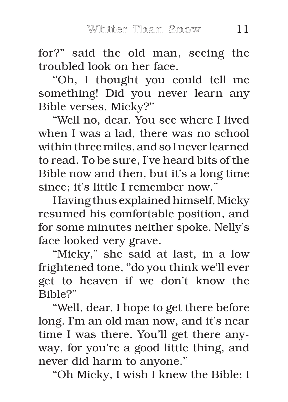for?" said the old man, seeing the troubled look on her face.

''Oh, I thought you could tell me something! Did you never learn any Bible verses, Micky?''

"Well no, dear. You see where I lived when I was a lad, there was no school within three miles, and so I never learned to read. To be sure, I've heard bits of the Bible now and then, but it's a long time since; it's little I remember now."

Having thus explained himself, Micky resumed his comfortable position, and for some minutes neither spoke. Nelly's face looked very grave.

"Micky," she said at last, in a low frightened tone, ''do you think we'll ever get to heaven if we don't know the Bible?"

"Well, dear, I hope to get there before long. I'm an old man now, and it's near time I was there. You'll get there anyway, for you're a good little thing, and never did harm to anyone.''

"Oh Micky, I wish I knew the Bible; I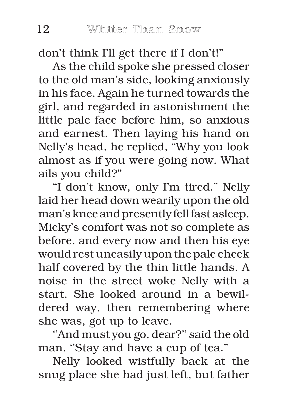don't think I'll get there if I don't!"

As the child spoke she pressed closer to the old man's side, looking anxiously in his face. Again he turned towards the girl, and regarded in astonishment the little pale face before him, so anxious and earnest. Then laying his hand on Nelly's head, he replied, "Why you look almost as if you were going now. What ails you child?"

"I don't know, only I'm tired." Nelly laid her head down wearily upon the old man's knee and presently fell fast asleep. Micky's comfort was not so complete as before, and every now and then his eye would rest uneasily upon the pale cheek half covered by the thin little hands. A noise in the street woke Nelly with a start. She looked around in a bewildered way, then remembering where she was, got up to leave.

''And must you go, dear?'' said the old man. "Stay and have a cup of tea."

Nelly looked wistfully back at the snug place she had just left, but father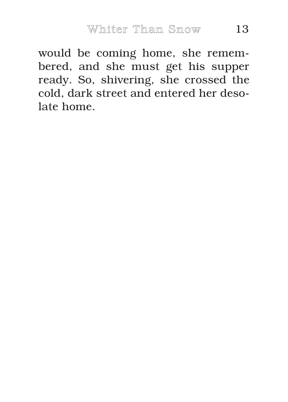would be coming home, she remembered, and she must get his supper ready. So, shivering, she crossed the cold, dark street and entered her desolate home.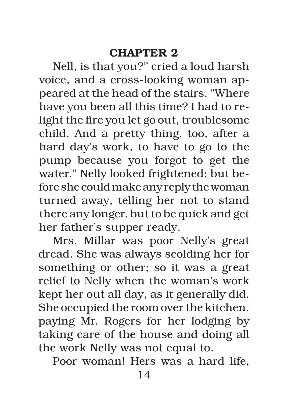Nell, is that you?'' cried a loud harsh voice, and a cross-looking woman appeared at the head of the stairs. "Where have you been all this time? I had to relight the fire you let go out, troublesome child. And a pretty thing, too, after a hard day's work, to have to go to the pump because you forgot to get the water." Nelly looked frightened; but before she could make any reply the woman turned away, telling her not to stand there any longer, but to be quick and get her father's supper ready.

Mrs. Millar was poor Nelly's great dread. She was always scolding her for something or other; so it was a great relief to Nelly when the woman's work kept her out all day, as it generally did. She occupied the room over the kitchen, paying Mr. Rogers for her lodging by taking care of the house and doing all the work Nelly was not equal to.

Poor woman! Hers was a hard life,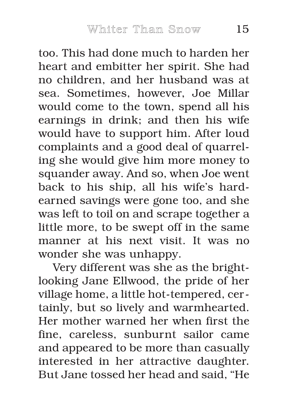too. This had done much to harden her heart and embitter her spirit. She had no children, and her husband was at sea. Sometimes, however, Joe Millar would come to the town, spend all his earnings in drink; and then his wife would have to support him. After loud complaints and a good deal of quarreling she would give him more money to squander away. And so, when Joe went back to his ship, all his wife's hardearned savings were gone too, and she was left to toil on and scrape together a little more, to be swept off in the same manner at his next visit. It was no wonder she was unhappy.

Very different was she as the brightlooking Jane Ellwood, the pride of her village home, a little hot-tempered, certainly, but so lively and warmhearted. Her mother warned her when first the fine, careless, sunburnt sailor came and appeared to be more than casually interested in her attractive daughter. But Jane tossed her head and said, "He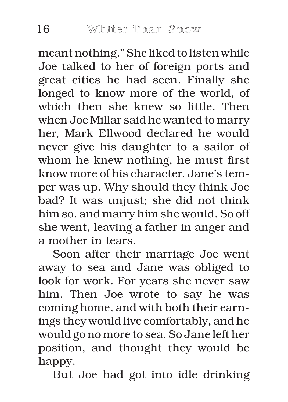meant nothing." She liked to listen while Joe talked to her of foreign ports and great cities he had seen. Finally she longed to know more of the world, of which then she knew so little. Then when Joe Millar said he wanted to marry her, Mark Ellwood declared he would never give his daughter to a sailor of whom he knew nothing, he must first know more of his character. Jane's temper was up. Why should they think Joe bad? It was unjust; she did not think him so, and marry him she would. So off she went, leaving a father in anger and a mother in tears.

Soon after their marriage Joe went away to sea and Jane was obliged to look for work. For years she never saw him. Then Joe wrote to say he was coming home, and with both their earnings they would live comfortably, and he would go no more to sea. So Jane left her position, and thought they would be happy.

But Joe had got into idle drinking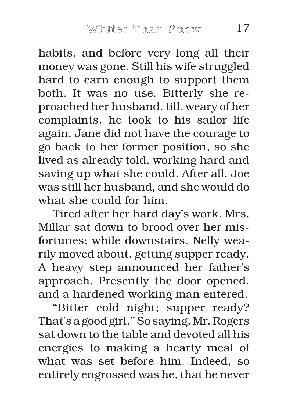habits, and before very long all their money was gone. Still his wife struggled hard to earn enough to support them both. It was no use. Bitterly she reproached her husband, till, weary of her complaints, he took to his sailor life again. Jane did not have the courage to go back to her former position, so she lived as already told, working hard and saving up what she could. After all, Joe was still her husband, and she would do what she could for him.

Tired after her hard day's work, Mrs. Millar sat down to brood over her misfortunes; while downstairs, Nelly wearily moved about, getting supper ready. A heavy step announced her father's approach. Presently the door opened, and a hardened working man entered.

"Bitter cold night; supper ready? That's a good girl.'' So saying, Mr. Rogers sat down to the table and devoted all his energies to making a hearty meal of what was set before him. Indeed, so entirely engrossed was he, that he never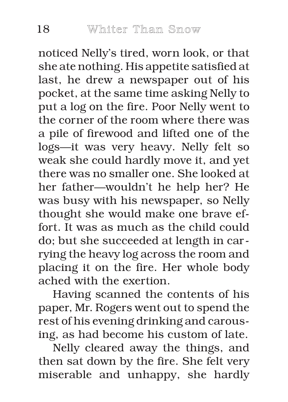noticed Nelly's tired, worn look, or that she ate nothing. His appetite satisfied at last, he drew a newspaper out of his pocket, at the same time asking Nelly to put a log on the fire. Poor Nelly went to the corner of the room where there was a pile of firewood and lifted one of the logs—it was very heavy. Nelly felt so weak she could hardly move it, and yet there was no smaller one. She looked at her father—wouldn't he help her? He was busy with his newspaper, so Nelly thought she would make one brave effort. It was as much as the child could do; but she succeeded at length in carrying the heavy log across the room and placing it on the fire. Her whole body ached with the exertion.

Having scanned the contents of his paper, Mr. Rogers went out to spend the rest of his evening drinking and carousing, as had become his custom of late.

Nelly cleared away the things, and then sat down by the fire. She felt very miserable and unhappy, she hardly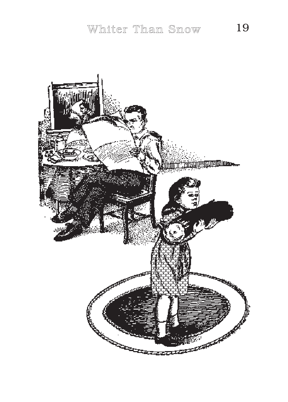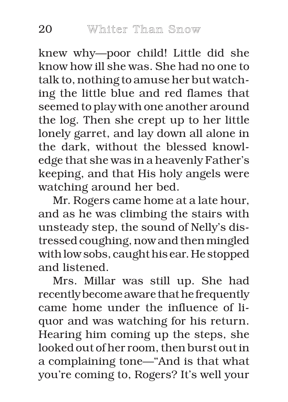knew why—poor child! Little did she know how ill she was. She had no one to talk to, nothing to amuse her but watching the little blue and red flames that seemed to play with one another around the log. Then she crept up to her little lonely garret, and lay down all alone in the dark, without the blessed knowledge that she was in a heavenly Father's keeping, and that His holy angels were watching around her bed.

Mr. Rogers came home at a late hour, and as he was climbing the stairs with unsteady step, the sound of Nelly's distressed coughing, now and then mingled with low sobs, caught his ear. He stopped and listened.

Mrs. Millar was still up. She had recently become aware that he frequently came home under the influence of liquor and was watching for his return. Hearing him coming up the steps, she looked out of her room, then burst out in a complaining tone—"And is that what you're coming to, Rogers? It's well your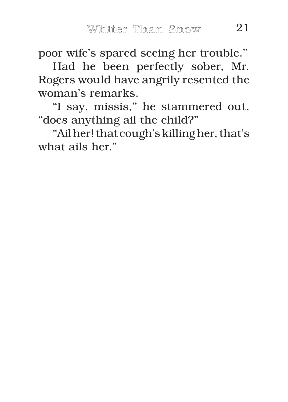poor wife's spared seeing her trouble.''

Had he been perfectly sober, Mr. Rogers would have angrily resented the woman's remarks.

"I say, missis,'' he stammered out, "does anything ail the child?"

"Ail her! that cough's killing her, that's what ails her."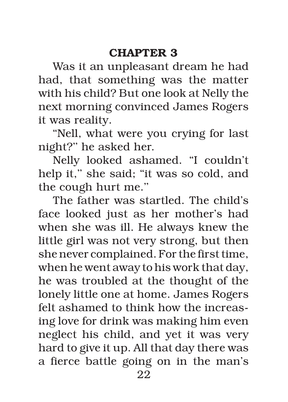### **CHAPTER 3**

Was it an unpleasant dream he had had, that something was the matter with his child? But one look at Nelly the next morning convinced James Rogers it was reality.

"Nell, what were you crying for last night?'' he asked her.

Nelly looked ashamed. "I couldn't help it,'' she said; "it was so cold, and the cough hurt me.''

The father was startled. The child's face looked just as her mother's had when she was ill. He always knew the little girl was not very strong, but then she never complained. For the first time, when he went away to his work that day, he was troubled at the thought of the lonely little one at home. James Rogers felt ashamed to think how the increasing love for drink was making him even neglect his child, and yet it was very hard to give it up. All that day there was a fierce battle going on in the man's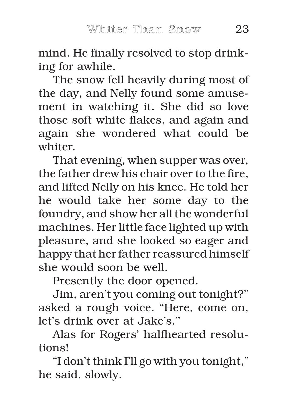mind. He finally resolved to stop drinking for awhile.

The snow fell heavily during most of the day, and Nelly found some amusement in watching it. She did so love those soft white flakes, and again and again she wondered what could be whiter.

That evening, when supper was over, the father drew his chair over to the fire, and lifted Nelly on his knee. He told her he would take her some day to the foundry, and show her all the wonderful machines. Her little face lighted up with pleasure, and she looked so eager and happy that her father reassured himself she would soon be well.

Presently the door opened.

Jim, aren't you coming out tonight?'' asked a rough voice. "Here, come on, let's drink over at Jake's.''

Alas for Rogers' halfhearted resolutions!

"I don't think I'll go with you tonight," he said, slowly.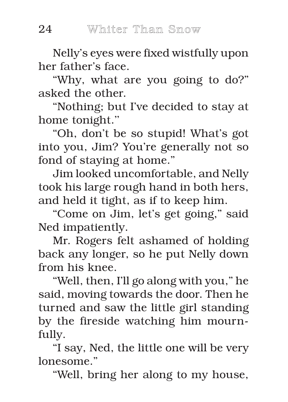Nelly's eyes were fixed wistfully upon her father's face.

"Why, what are you going to do?" asked the other.

"Nothing; but I've decided to stay at home tonight.''

"Oh, don't be so stupid! What's got into you, Jim? You're generally not so fond of staying at home."

Jim looked uncomfortable, and Nelly took his large rough hand in both hers, and held it tight, as if to keep him.

"Come on Jim, let's get going," said Ned impatiently.

Mr. Rogers felt ashamed of holding back any longer, so he put Nelly down from his knee.

"Well, then, I'll go along with you," he said, moving towards the door. Then he turned and saw the little girl standing by the fireside watching him mournfully.

"I say, Ned, the little one will be very lonesome."

"Well, bring her along to my house,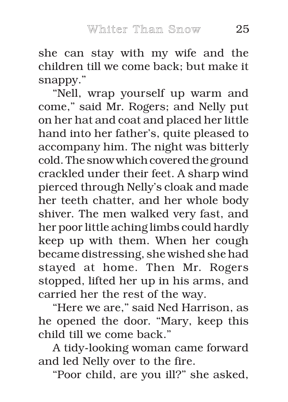she can stay with my wife and the children till we come back; but make it snappy."

"Nell, wrap yourself up warm and come," said Mr. Rogers; and Nelly put on her hat and coat and placed her little hand into her father's, quite pleased to accompany him. The night was bitterly cold. The snow which covered the ground crackled under their feet. A sharp wind pierced through Nelly's cloak and made her teeth chatter, and her whole body shiver. The men walked very fast, and her poor little aching limbs could hardly keep up with them. When her cough became distressing, she wished she had stayed at home. Then Mr. Rogers stopped, lifted her up in his arms, and carried her the rest of the way.

"Here we are," said Ned Harrison, as he opened the door. "Mary, keep this child till we come back."

A tidy-looking woman came forward and led Nelly over to the fire.

"Poor child, are you ill?" she asked,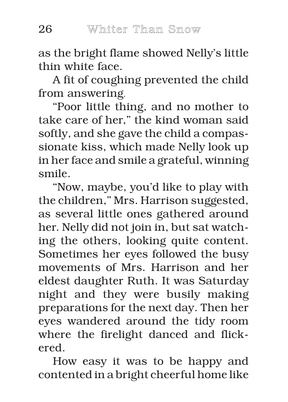as the bright flame showed Nelly's little thin white face.

A fit of coughing prevented the child from answering.

"Poor little thing, and no mother to take care of her," the kind woman said softly, and she gave the child a compassionate kiss, which made Nelly look up in her face and smile a grateful, winning smile.

"Now, maybe, you'd like to play with the children," Mrs. Harrison suggested, as several little ones gathered around her. Nelly did not join in, but sat watching the others, looking quite content. Sometimes her eyes followed the busy movements of Mrs. Harrison and her eldest daughter Ruth. It was Saturday night and they were busily making preparations for the next day. Then her eyes wandered around the tidy room where the firelight danced and flickered.

How easy it was to be happy and contented in a bright cheerful home like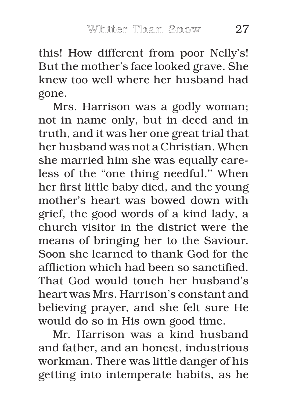this! How different from poor Nelly's! But the mother's face looked grave. She knew too well where her husband had gone.

Mrs. Harrison was a godly woman; not in name only, but in deed and in truth, and it was her one great trial that her husband was not a Christian. When she married him she was equally careless of the "one thing needful.'' When her first little baby died, and the young mother's heart was bowed down with grief, the good words of a kind lady, a church visitor in the district were the means of bringing her to the Saviour. Soon she learned to thank God for the affliction which had been so sanctified. That God would touch her husband's heart was Mrs. Harrison's constant and believing prayer, and she felt sure He would do so in His own good time.

Mr. Harrison was a kind husband and father, and an honest, industrious workman. There was little danger of his getting into intemperate habits, as he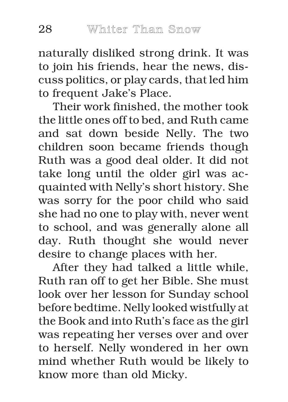naturally disliked strong drink. It was to join his friends, hear the news, discuss politics, or play cards, that led him to frequent Jake's Place.

Their work finished, the mother took the little ones off to bed, and Ruth came and sat down beside Nelly. The two children soon became friends though Ruth was a good deal older. It did not take long until the older girl was acquainted with Nelly's short history. She was sorry for the poor child who said she had no one to play with, never went to school, and was generally alone all day. Ruth thought she would never desire to change places with her.

After they had talked a little while, Ruth ran off to get her Bible. She must look over her lesson for Sunday school before bedtime. Nelly looked wistfully at the Book and into Ruth's face as the girl was repeating her verses over and over to herself. Nelly wondered in her own mind whether Ruth would be likely to know more than old Micky.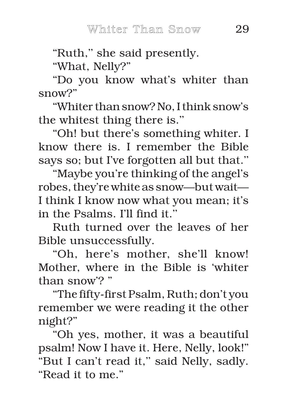"Ruth,'' she said presently.

"What, Nelly?"

"Do you know what's whiter than snow?"

"Whiter than snow? No, I think snow's the whitest thing there is.''

"Oh! but there's something whiter. I know there is. I remember the Bible says so; but I've forgotten all but that.''

"Maybe you're thinking of the angel's robes, they're white as snow—but wait— I think I know now what you mean; it's in the Psalms. I'll find it.''

Ruth turned over the leaves of her Bible unsuccessfully.

"Oh, here's mother, she'll know! Mother, where in the Bible is 'whiter than snow'? "

"The fifty-first Psalm, Ruth; don't you remember we were reading it the other night?"

"Oh yes, mother, it was a beautiful psalm! Now I have it. Here, Nelly, look!" "But I can't read it," said Nelly, sadly. "Read it to me."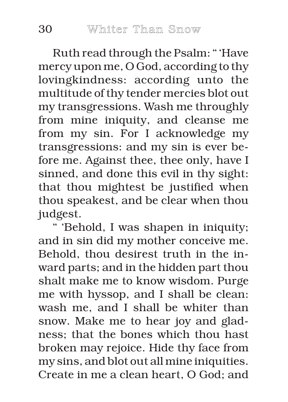Ruth read through the Psalm: " 'Have mercy upon me, O God, according to thy lovingkindness: according unto the multitude of thy tender mercies blot out my transgressions. Wash me throughly from mine iniquity, and cleanse me from my sin. For I acknowledge my transgressions: and my sin is ever before me. Against thee, thee only, have I sinned, and done this evil in thy sight: that thou mightest be justified when thou speakest, and be clear when thou judgest.

" 'Behold, I was shapen in iniquity; and in sin did my mother conceive me. Behold, thou desirest truth in the inward parts; and in the hidden part thou shalt make me to know wisdom. Purge me with hyssop, and I shall be clean: wash me, and I shall be whiter than snow. Make me to hear joy and gladness; that the bones which thou hast broken may rejoice. Hide thy face from my sins, and blot out all mine iniquities. Create in me a clean heart, O God; and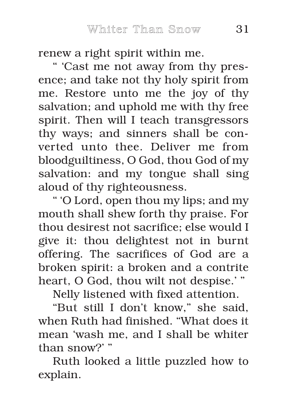renew a right spirit within me.

" 'Cast me not away from thy presence; and take not thy holy spirit from me. Restore unto me the joy of thy salvation; and uphold me with thy free spirit. Then will I teach transgressors thy ways; and sinners shall be converted unto thee. Deliver me from bloodguiltiness, O God, thou God of my salvation: and my tongue shall sing aloud of thy righteousness.

" 'O Lord, open thou my lips; and my mouth shall shew forth thy praise. For thou desirest not sacrifice; else would I give it: thou delightest not in burnt offering. The sacrifices of God are a broken spirit: a broken and a contrite heart, O God, thou wilt not despise.' "

Nelly listened with fixed attention.

"But still I don't know," she said, when Ruth had finished. "What does it mean 'wash me, and I shall be whiter than snow?'"

Ruth looked a little puzzled how to explain.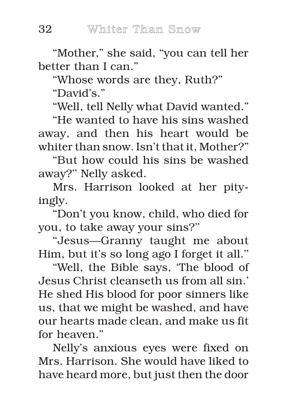"Mother," she said, "you can tell her better than I can."

"Whose words are they, Ruth?"

"David's."

"Well, tell Nelly what David wanted."

"He wanted to have his sins washed away, and then his heart would be whiter than snow. Isn't that it, Mother?"

"But how could his sins be washed away?'' Nelly asked.

Mrs. Harrison looked at her pityingly.

"Don't you know, child, who died for you, to take away your sins?''

"Jesus—Granny taught me about Him, but it's so long ago I forget it all.''

"Well, the Bible says, 'The blood of Jesus Christ cleanseth us from all sin.' He shed His blood for poor sinners like us, that we might be washed, and have our hearts made clean, and make us fit for heaven."

Nelly's anxious eyes were fixed on Mrs. Harrison. She would have liked to have heard more, but just then the door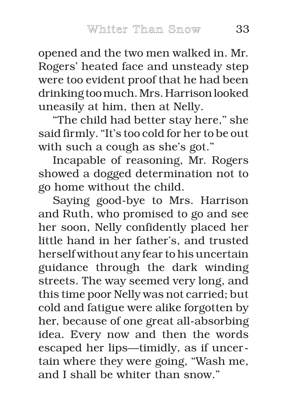opened and the two men walked in. Mr. Rogers' heated face and unsteady step were too evident proof that he had been drinking too much. Mrs. Harrison looked uneasily at him, then at Nelly.

"The child had better stay here," she said firmly. "It's too cold for her to be out with such a cough as she's got."

Incapable of reasoning, Mr. Rogers showed a dogged determination not to go home without the child.

Saying good-bye to Mrs. Harrison and Ruth, who promised to go and see her soon, Nelly confidently placed her little hand in her father's, and trusted herself without any fear to his uncertain guidance through the dark winding streets. The way seemed very long, and this time poor Nelly was not carried; but cold and fatigue were alike forgotten by her, because of one great all-absorbing idea. Every now and then the words escaped her lips—timidly, as if uncertain where they were going, "Wash me, and I shall be whiter than snow."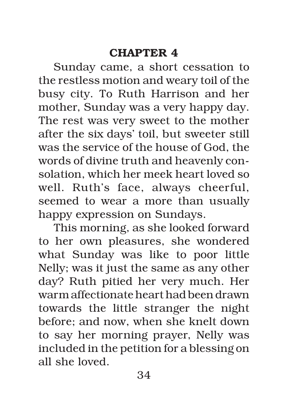Sunday came, a short cessation to the restless motion and weary toil of the busy city. To Ruth Harrison and her mother, Sunday was a very happy day. The rest was very sweet to the mother after the six days' toil, but sweeter still was the service of the house of God, the words of divine truth and heavenly consolation, which her meek heart loved so well. Ruth's face, always cheerful, seemed to wear a more than usually happy expression on Sundays.

This morning, as she looked forward to her own pleasures, she wondered what Sunday was like to poor little Nelly; was it just the same as any other day? Ruth pitied her very much. Her warm affectionate heart had been drawn towards the little stranger the night before; and now, when she knelt down to say her morning prayer, Nelly was included in the petition for a blessing on all she loved.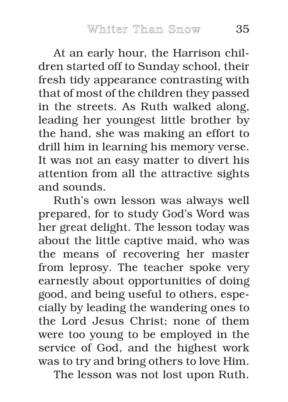At an early hour, the Harrison children started off to Sunday school, their fresh tidy appearance contrasting with that of most of the children they passed in the streets. As Ruth walked along, leading her youngest little brother by the hand, she was making an effort to drill him in learning his memory verse. It was not an easy matter to divert his attention from all the attractive sights and sounds.

Ruth's own lesson was always well prepared, for to study God's Word was her great delight. The lesson today was about the little captive maid, who was the means of recovering her master from leprosy. The teacher spoke very earnestly about opportunities of doing good, and being useful to others, especially by leading the wandering ones to the Lord Jesus Christ; none of them were too young to be employed in the service of God, and the highest work was to try and bring others to love Him.

The lesson was not lost upon Ruth.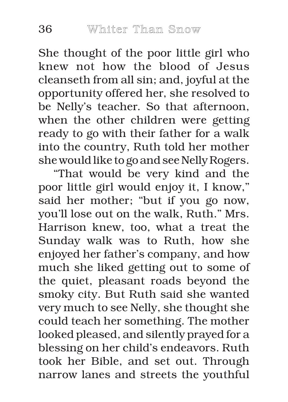She thought of the poor little girl who knew not how the blood of Jesus cleanseth from all sin; and, joyful at the opportunity offered her, she resolved to be Nelly's teacher. So that afternoon, when the other children were getting ready to go with their father for a walk into the country, Ruth told her mother she would like to go and see Nelly Rogers.

"That would be very kind and the poor little girl would enjoy it, I know," said her mother; "but if you go now, you'll lose out on the walk, Ruth." Mrs. Harrison knew, too, what a treat the Sunday walk was to Ruth, how she enjoyed her father's company, and how much she liked getting out to some of the quiet, pleasant roads beyond the smoky city. But Ruth said she wanted very much to see Nelly, she thought she could teach her something. The mother looked pleased, and silently prayed for a blessing on her child's endeavors. Ruth took her Bible, and set out. Through narrow lanes and streets the youthful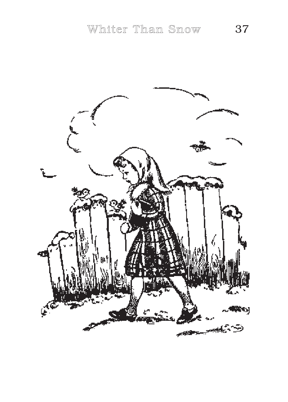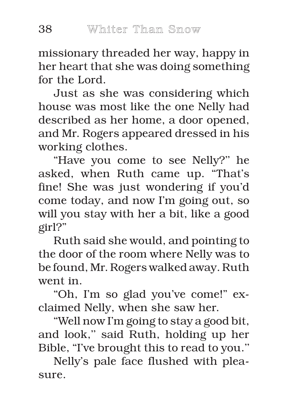missionary threaded her way, happy in her heart that she was doing something for the Lord.

Just as she was considering which house was most like the one Nelly had described as her home, a door opened, and Mr. Rogers appeared dressed in his working clothes.

"Have you come to see Nelly?'' he asked, when Ruth came up. "That's fine! She was just wondering if you'd come today, and now I'm going out, so will you stay with her a bit, like a good girl?"

Ruth said she would, and pointing to the door of the room where Nelly was to be found, Mr. Rogers walked away. Ruth went in.

"Oh, I'm so glad you've come!" exclaimed Nelly, when she saw her.

"Well now I'm going to stay a good bit, and look,'' said Ruth, holding up her Bible, "I've brought this to read to you.''

Nelly's pale face flushed with pleasure.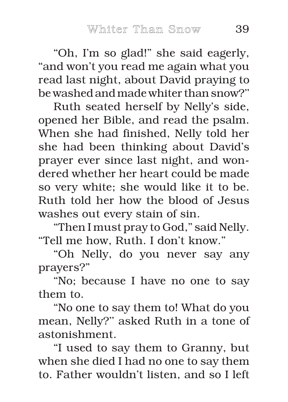Whiter Than Snow 39

"Oh, I'm so glad!" she said eagerly, "and won't you read me again what you read last night, about David praying to be washed and made whiter than snow?''

Ruth seated herself by Nelly's side, opened her Bible, and read the psalm. When she had finished, Nelly told her she had been thinking about David's prayer ever since last night, and wondered whether her heart could be made so very white; she would like it to be. Ruth told her how the blood of Jesus washes out every stain of sin.

"Then I must pray to God," said Nelly. "Tell me how, Ruth. I don't know."

"Oh Nelly, do you never say any prayers?"

"No; because I have no one to say them to.

"No one to say them to! What do you mean, Nelly?'' asked Ruth in a tone of astonishment.

"I used to say them to Granny, but when she died I had no one to say them to. Father wouldn't listen, and so I left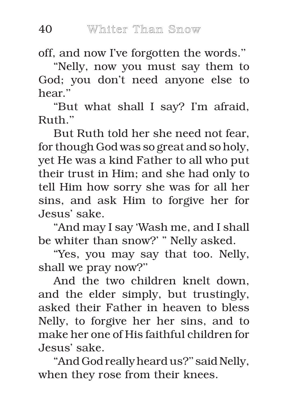off, and now I've forgotten the words.''

"Nelly, now you must say them to God; you don't need anyone else to hear.''

"But what shall I say? I'm afraid, Ruth.''

But Ruth told her she need not fear, for though God was so great and so holy, yet He was a kind Father to all who put their trust in Him; and she had only to tell Him how sorry she was for all her sins, and ask Him to forgive her for Jesus' sake.

"And may I say 'Wash me, and I shall be whiter than snow?' " Nelly asked.

"Yes, you may say that too. Nelly, shall we pray now?''

And the two children knelt down, and the elder simply, but trustingly, asked their Father in heaven to bless Nelly, to forgive her her sins, and to make her one of His faithful children for Jesus' sake.

"And God really heard us?'' said Nelly, when they rose from their knees.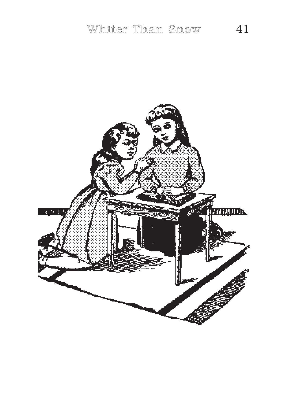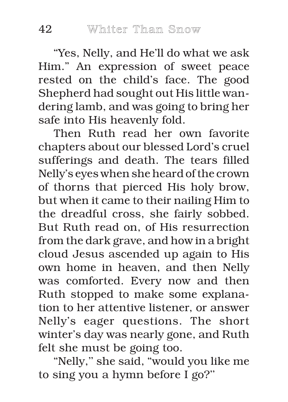"Yes, Nelly, and He'll do what we ask Him." An expression of sweet peace rested on the child's face. The good Shepherd had sought out His little wandering lamb, and was going to bring her safe into His heavenly fold.

Then Ruth read her own favorite chapters about our blessed Lord's cruel sufferings and death. The tears filled Nelly's eyes when she heard of the crown of thorns that pierced His holy brow, but when it came to their nailing Him to the dreadful cross, she fairly sobbed. But Ruth read on, of His resurrection from the dark grave, and how in a bright cloud Jesus ascended up again to His own home in heaven, and then Nelly was comforted. Every now and then Ruth stopped to make some explanation to her attentive listener, or answer Nelly's eager questions. The short winter's day was nearly gone, and Ruth felt she must be going too.

"Nelly,'' she said, "would you like me to sing you a hymn before I go?''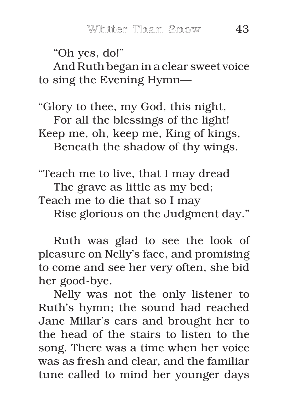"Oh yes, do!"

And Ruth began in a clear sweet voice to sing the Evening Hymn—

"Glory to thee, my God, this night, For all the blessings of the light! Keep me, oh, keep me, King of kings, Beneath the shadow of thy wings.

"Teach me to live, that I may dread The grave as little as my bed; Teach me to die that so I may

Rise glorious on the Judgment day."

Ruth was glad to see the look of pleasure on Nelly's face, and promising to come and see her very often, she bid her good-bye.

Nelly was not the only listener to Ruth's hymn; the sound had reached Jane Millar's ears and brought her to the head of the stairs to listen to the song. There was a time when her voice was as fresh and clear, and the familiar tune called to mind her younger days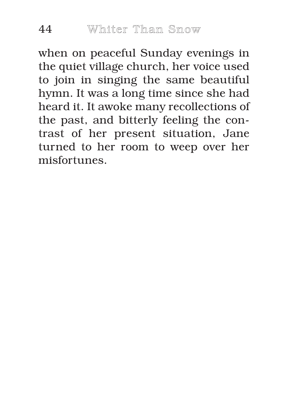when on peaceful Sunday evenings in the quiet village church, her voice used to join in singing the same beautiful hymn. It was a long time since she had heard it. It awoke many recollections of the past, and bitterly feeling the contrast of her present situation, Jane turned to her room to weep over her misfortunes.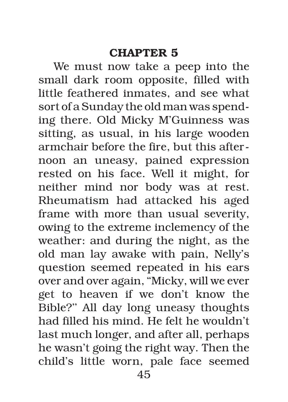## **CHAPTER 5**

We must now take a peep into the small dark room opposite, filled with little feathered inmates, and see what sort of a Sunday the old man was spending there. Old Micky M'Guinness was sitting, as usual, in his large wooden armchair before the fire, but this afternoon an uneasy, pained expression rested on his face. Well it might, for neither mind nor body was at rest. Rheumatism had attacked his aged frame with more than usual severity, owing to the extreme inclemency of the weather: and during the night, as the old man lay awake with pain, Nelly's question seemed repeated in his ears over and over again, "Micky, will we ever get to heaven if we don't know the Bible?'' All day long uneasy thoughts had filled his mind. He felt he wouldn't last much longer, and after all, perhaps he wasn't going the right way. Then the child's little worn, pale face seemed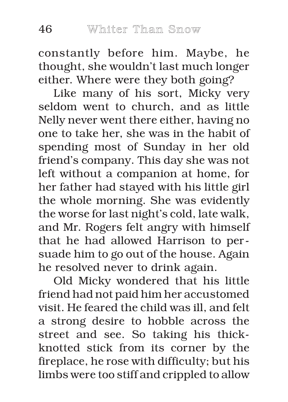constantly before him. Maybe, he thought, she wouldn't last much longer either. Where were they both going?

Like many of his sort, Micky very seldom went to church, and as little Nelly never went there either, having no one to take her, she was in the habit of spending most of Sunday in her old friend's company. This day she was not left without a companion at home, for her father had stayed with his little girl the whole morning. She was evidently the worse for last night's cold, late walk, and Mr. Rogers felt angry with himself that he had allowed Harrison to persuade him to go out of the house. Again he resolved never to drink again.

Old Micky wondered that his little friend had not paid him her accustomed visit. He feared the child was ill, and felt a strong desire to hobble across the street and see. So taking his thickknotted stick from its corner by the fireplace, he rose with difficulty; but his limbs were too stiff and crippled to allow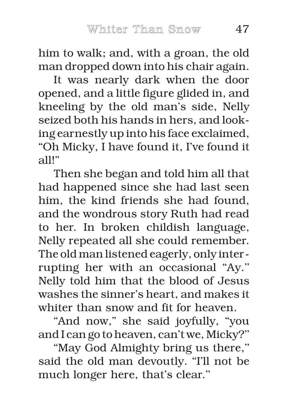him to walk; and, with a groan, the old man dropped down into his chair again.

It was nearly dark when the door opened, and a little figure glided in, and kneeling by the old man's side, Nelly seized both his hands in hers, and looking earnestly up into his face exclaimed, "Oh Micky, I have found it, I've found it  $all"$ 

Then she began and told him all that had happened since she had last seen him, the kind friends she had found, and the wondrous story Ruth had read to her. In broken childish language, Nelly repeated all she could remember. The old man listened eagerly, only interrupting her with an occasional "Ay.'' Nelly told him that the blood of Jesus washes the sinner's heart, and makes it whiter than snow and fit for heaven.

"And now," she said joyfully, "you and I can go to heaven, can't we, Micky?''

"May God Almighty bring us there,'' said the old man devoutly. "I'll not be much longer here, that's clear.''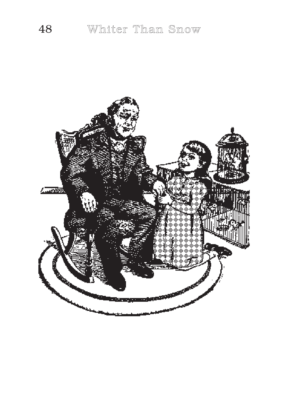## Whiter Than Snow

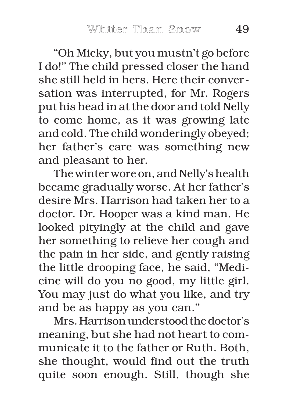"Oh Micky, but you mustn't go before I do!'' The child pressed closer the hand she still held in hers. Here their conversation was interrupted, for Mr. Rogers put his head in at the door and told Nelly to come home, as it was growing late and cold. The child wonderingly obeyed; her father's care was something new and pleasant to her.

The winter wore on, and Nelly's health became gradually worse. At her father's desire Mrs. Harrison had taken her to a doctor. Dr. Hooper was a kind man. He looked pityingly at the child and gave her something to relieve her cough and the pain in her side, and gently raising the little drooping face, he said, "Medicine will do you no good, my little girl. You may just do what you like, and try and be as happy as you can.''

Mrs. Harrison understood the doctor's meaning, but she had not heart to communicate it to the father or Ruth. Both, she thought, would find out the truth quite soon enough. Still, though she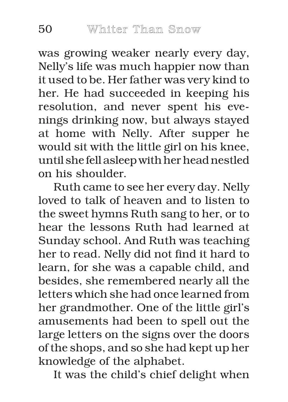was growing weaker nearly every day, Nelly's life was much happier now than it used to be. Her father was very kind to her. He had succeeded in keeping his resolution, and never spent his evenings drinking now, but always stayed at home with Nelly. After supper he would sit with the little girl on his knee, until she fell asleep with her head nestled on his shoulder.

Ruth came to see her every day. Nelly loved to talk of heaven and to listen to the sweet hymns Ruth sang to her, or to hear the lessons Ruth had learned at Sunday school. And Ruth was teaching her to read. Nelly did not find it hard to learn, for she was a capable child, and besides, she remembered nearly all the letters which she had once learned from her grandmother. One of the little girl's amusements had been to spell out the large letters on the signs over the doors of the shops, and so she had kept up her knowledge of the alphabet.

It was the child's chief delight when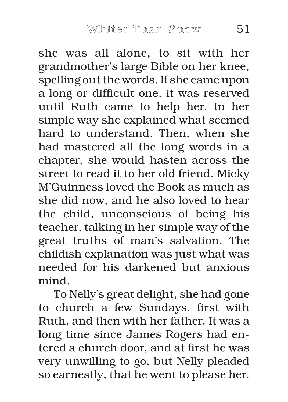she was all alone, to sit with her grandmother's large Bible on her knee, spelling out the words. If she came upon a long or difficult one, it was reserved until Ruth came to help her. In her simple way she explained what seemed hard to understand. Then, when she had mastered all the long words in a chapter, she would hasten across the street to read it to her old friend. Micky M'Guinness loved the Book as much as she did now, and he also loved to hear the child, unconscious of being his teacher, talking in her simple way of the great truths of man's salvation. The childish explanation was just what was needed for his darkened but anxious mind.

To Nelly's great delight, she had gone to church a few Sundays, first with Ruth, and then with her father. It was a long time since James Rogers had entered a church door, and at first he was very unwilling to go, but Nelly pleaded so earnestly, that he went to please her.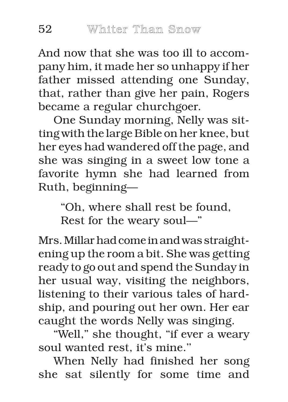And now that she was too ill to accompany him, it made her so unhappy if her father missed attending one Sunday, that, rather than give her pain, Rogers became a regular churchgoer.

One Sunday morning, Nelly was sitting with the large Bible on her knee, but her eyes had wandered off the page, and she was singing in a sweet low tone a favorite hymn she had learned from Ruth, beginning—

> "Oh, where shall rest be found, Rest for the weary soul—"

Mrs. Millar had come in and was straightening up the room a bit. She was getting ready to go out and spend the Sunday in her usual way, visiting the neighbors, listening to their various tales of hardship, and pouring out her own. Her ear caught the words Nelly was singing.

"Well," she thought, "if ever a weary soul wanted rest, it's mine.''

When Nelly had finished her song she sat silently for some time and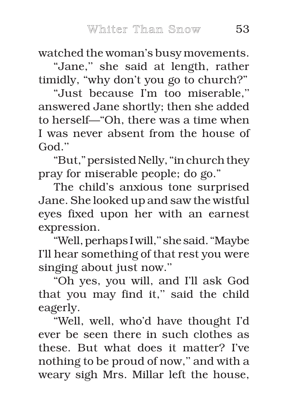watched the woman's busy movements.

"Jane,'' she said at length, rather timidly, "why don't you go to church?"

"Just because I'm too miserable,'' answered Jane shortly; then she added to herself—"Oh, there was a time when I was never absent from the house of God.''

"But," persisted Nelly, "in church they pray for miserable people; do go."

The child's anxious tone surprised Jane. She looked up and saw the wistful eyes fixed upon her with an earnest expression.

"Well, perhaps I will,'' she said. "Maybe I'll hear something of that rest you were singing about just now.''

"Oh yes, you will, and I'll ask God that you may find it,'' said the child eagerly.

"Well, well, who'd have thought I'd ever be seen there in such clothes as these. But what does it matter? I've nothing to be proud of now,'' and with a weary sigh Mrs. Millar left the house,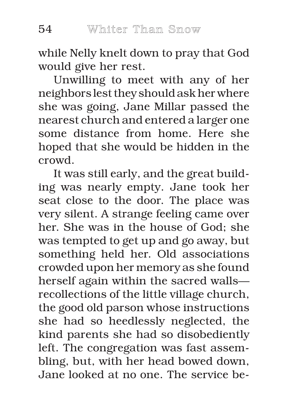while Nelly knelt down to pray that God would give her rest.

Unwilling to meet with any of her neighbors lest they should ask her where she was going, Jane Millar passed the nearest church and entered a larger one some distance from home. Here she hoped that she would be hidden in the crowd.

It was still early, and the great building was nearly empty. Jane took her seat close to the door. The place was very silent. A strange feeling came over her. She was in the house of God; she was tempted to get up and go away, but something held her. Old associations crowded upon her memory as she found herself again within the sacred walls recollections of the little village church, the good old parson whose instructions she had so heedlessly neglected, the kind parents she had so disobediently left. The congregation was fast assembling, but, with her head bowed down, Jane looked at no one. The service be-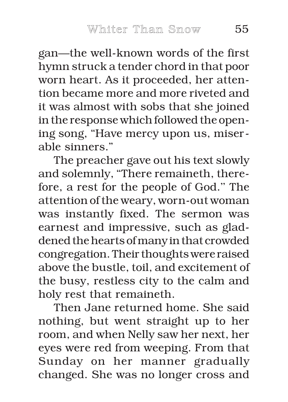gan—the well-known words of the first hymn struck a tender chord in that poor worn heart. As it proceeded, her attention became more and more riveted and it was almost with sobs that she joined in the response which followed the opening song, "Have mercy upon us, miserable sinners."

The preacher gave out his text slowly and solemnly, "There remaineth, therefore, a rest for the people of God.'' The attention of the weary, worn-out woman was instantly fixed. The sermon was earnest and impressive, such as gladdened the hearts of many in that crowded congregation. Their thoughts were raised above the bustle, toil, and excitement of the busy, restless city to the calm and holy rest that remaineth.

Then Jane returned home. She said nothing, but went straight up to her room, and when Nelly saw her next, her eyes were red from weeping. From that Sunday on her manner gradually changed. She was no longer cross and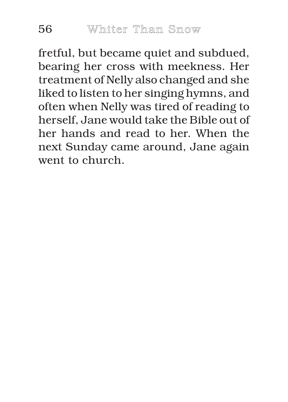fretful, but became quiet and subdued, bearing her cross with meekness. Her treatment of Nelly also changed and she liked to listen to her singing hymns, and often when Nelly was tired of reading to herself, Jane would take the Bible out of her hands and read to her. When the next Sunday came around, Jane again went to church.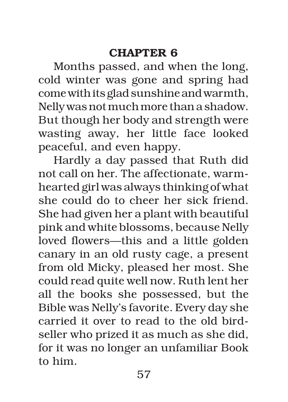Months passed, and when the long, cold winter was gone and spring had come with its glad sunshine and warmth, Nelly was not much more than a shadow. But though her body and strength were wasting away, her little face looked peaceful, and even happy.

Hardly a day passed that Ruth did not call on her. The affectionate, warmhearted girl was always thinking of what she could do to cheer her sick friend. She had given her a plant with beautiful pink and white blossoms, because Nelly loved flowers—this and a little golden canary in an old rusty cage, a present from old Micky, pleased her most. She could read quite well now. Ruth lent her all the books she possessed, but the Bible was Nelly's favorite. Every day she carried it over to read to the old birdseller who prized it as much as she did, for it was no longer an unfamiliar Book to him.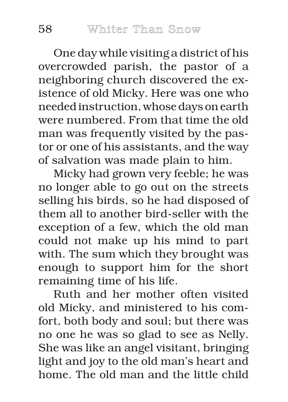One day while visiting a district of his overcrowded parish, the pastor of a neighboring church discovered the existence of old Micky. Here was one who needed instruction, whose days on earth were numbered. From that time the old man was frequently visited by the pastor or one of his assistants, and the way of salvation was made plain to him.

Micky had grown very feeble; he was no longer able to go out on the streets selling his birds, so he had disposed of them all to another bird-seller with the exception of a few, which the old man could not make up his mind to part with. The sum which they brought was enough to support him for the short remaining time of his life.

Ruth and her mother often visited old Micky, and ministered to his comfort, both body and soul; but there was no one he was so glad to see as Nelly. She was like an angel visitant, bringing light and joy to the old man's heart and home. The old man and the little child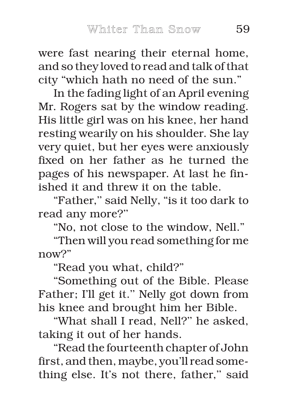were fast nearing their eternal home, and so they loved to read and talk of that city "which hath no need of the sun."

In the fading light of an April evening Mr. Rogers sat by the window reading. His little girl was on his knee, her hand resting wearily on his shoulder. She lay very quiet, but her eyes were anxiously fixed on her father as he turned the pages of his newspaper. At last he finished it and threw it on the table.

"Father,'' said Nelly, "is it too dark to read any more?''

"No, not close to the window, Nell."

"Then will you read something for me now?"

"Read you what, child?"

"Something out of the Bible. Please Father; I'll get it.'' Nelly got down from his knee and brought him her Bible.

"What shall I read, Nell?'' he asked, taking it out of her hands.

"Read the fourteenth chapter of John first, and then, maybe, you'll read something else. It's not there, father,'' said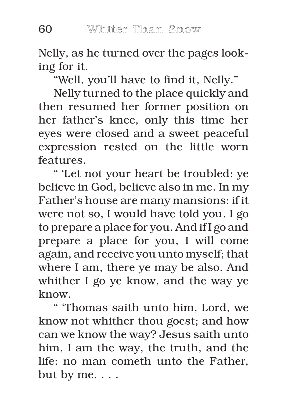Nelly, as he turned over the pages looking for it.

"Well, you'll have to find it, Nelly."

Nelly turned to the place quickly and then resumed her former position on her father's knee, only this time her eyes were closed and a sweet peaceful expression rested on the little worn features.

" 'Let not your heart be troubled: ye believe in God, believe also in me. In my Father's house are many mansions: if it were not so, I would have told you. I go to prepare a place for you. And if I go and prepare a place for you, I will come again, and receive you unto myself; that where I am, there ye may be also. And whither I go ye know, and the way ye know.

" 'Thomas saith unto him, Lord, we know not whither thou goest; and how can we know the way? Jesus saith unto him, I am the way, the truth, and the life: no man cometh unto the Father, but by me. . . .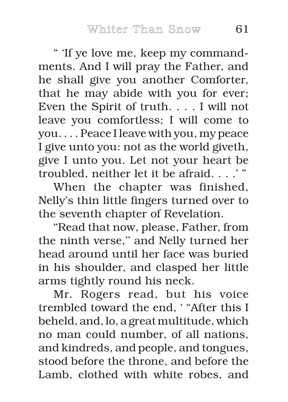" 'If ye love me, keep my commandments. And I will pray the Father, and he shall give you another Comforter, that he may abide with you for ever; Even the Spirit of truth. . . . I will not leave you comfortless; I will come to you. . . . Peace I leave with you, my peace I give unto you: not as the world giveth, give I unto you. Let not your heart be troubled, neither let it be afraid. . . .' "

When the chapter was finished, Nelly's thin little fingers turned over to the seventh chapter of Revelation.

"Read that now, please, Father, from the ninth verse,'' and Nelly turned her head around until her face was buried in his shoulder, and clasped her little arms tightly round his neck.

Mr. Rogers read, but his voice trembled toward the end, ' "After this I beheld, and, lo, a great multitude, which no man could number, of all nations, and kindreds, and people, and tongues, stood before the throne, and before the Lamb, clothed with white robes, and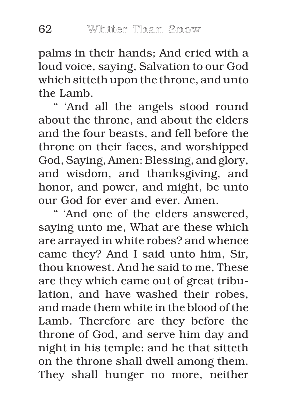palms in their hands; And cried with a loud voice, saying, Salvation to our God which sitteth upon the throne, and unto the Lamb.

" 'And all the angels stood round about the throne, and about the elders and the four beasts, and fell before the throne on their faces, and worshipped God, Saying, Amen: Blessing, and glory, and wisdom, and thanksgiving, and honor, and power, and might, be unto our God for ever and ever. Amen.

" 'And one of the elders answered, saying unto me, What are these which are arrayed in white robes? and whence came they? And I said unto him, Sir, thou knowest. And he said to me, These are they which came out of great tribulation, and have washed their robes, and made them white in the blood of the Lamb. Therefore are they before the throne of God, and serve him day and night in his temple: and he that sitteth on the throne shall dwell among them. They shall hunger no more, neither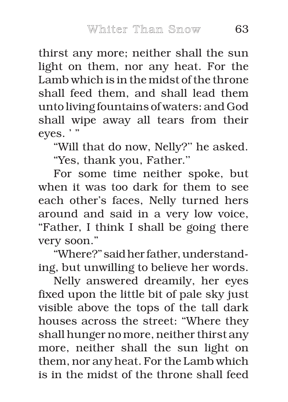thirst any more; neither shall the sun light on them, nor any heat. For the Lamb which is in the midst of the throne shall feed them, and shall lead them unto living fountains of waters: and God shall wipe away all tears from their eyes. ' "

"Will that do now, Nelly?'' he asked.

"Yes, thank you, Father.''

For some time neither spoke, but when it was too dark for them to see each other's faces, Nelly turned hers around and said in a very low voice, "Father, I think I shall be going there very soon."

"Where?" said her father, understanding, but unwilling to believe her words.

Nelly answered dreamily, her eyes fixed upon the little bit of pale sky just visible above the tops of the tall dark houses across the street: "Where they shall hunger no more, neither thirst any more, neither shall the sun light on them, nor any heat. For the Lamb which is in the midst of the throne shall feed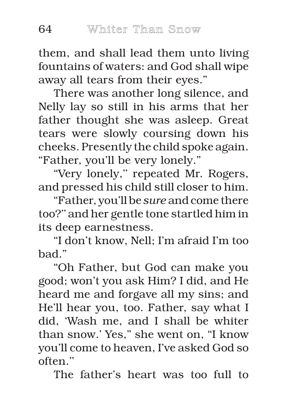them, and shall lead them unto living fountains of waters: and God shall wipe away all tears from their eyes."

There was another long silence, and Nelly lay so still in his arms that her father thought she was asleep. Great tears were slowly coursing down his cheeks. Presently the child spoke again. "Father, you'll be very lonely."

"Very lonely,'' repeated Mr. Rogers, and pressed his child still closer to him.

"Father, you'll be *sure* and come there too?'' and her gentle tone startled him in its deep earnestness.

"I don't know, Nell; I'm afraid I'm too bad."

"Oh Father, but God can make you good; won't you ask Him? I did, and He heard me and forgave all my sins; and He'll hear you, too. Father, say what I did, 'Wash me, and I shall be whiter than snow.' Yes," she went on, "I know you'll come to heaven, I've asked God so often.''

The father's heart was too full to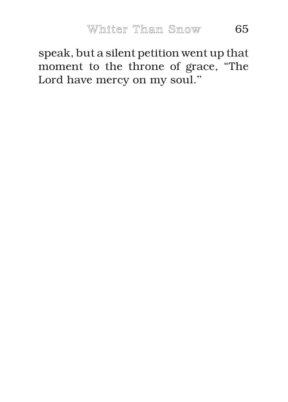speak, but a silent petition went up that moment to the throne of grace, "The Lord have mercy on my soul.''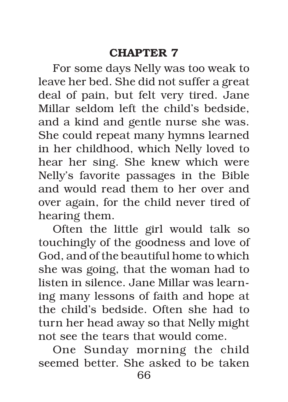## **CHAPTER 7**

For some days Nelly was too weak to leave her bed. She did not suffer a great deal of pain, but felt very tired. Jane Millar seldom left the child's bedside, and a kind and gentle nurse she was. She could repeat many hymns learned in her childhood, which Nelly loved to hear her sing. She knew which were Nelly's favorite passages in the Bible and would read them to her over and over again, for the child never tired of hearing them.

Often the little girl would talk so touchingly of the goodness and love of God, and of the beautiful home to which she was going, that the woman had to listen in silence. Jane Millar was learning many lessons of faith and hope at the child's bedside. Often she had to turn her head away so that Nelly might not see the tears that would come.

One Sunday morning the child seemed better. She asked to be taken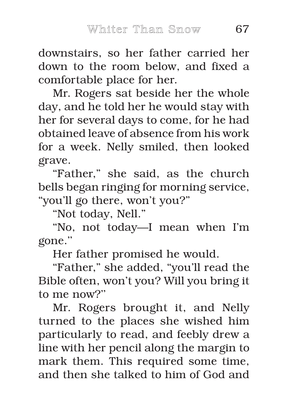downstairs, so her father carried her down to the room below, and fixed a comfortable place for her.

Mr. Rogers sat beside her the whole day, and he told her he would stay with her for several days to come, for he had obtained leave of absence from his work for a week. Nelly smiled, then looked grave.

"Father," she said, as the church bells began ringing for morning service, "you'll go there, won't you?"

"Not today, Nell."

"No, not today—I mean when I'm gone.''

Her father promised he would.

"Father," she added, "you'll read the Bible often, won't you? Will you bring it to me now?''

Mr. Rogers brought it, and Nelly turned to the places she wished him particularly to read, and feebly drew a line with her pencil along the margin to mark them. This required some time, and then she talked to him of God and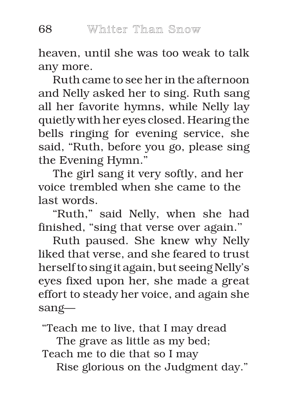heaven, until she was too weak to talk any more.

Ruth came to see her in the afternoon and Nelly asked her to sing. Ruth sang all her favorite hymns, while Nelly lay quietly with her eyes closed. Hearing the bells ringing for evening service, she said, "Ruth, before you go, please sing the Evening Hymn."

The girl sang it very softly, and her voice trembled when she came to the last words.

"Ruth," said Nelly, when she had finished, "sing that verse over again.''

Ruth paused. She knew why Nelly liked that verse, and she feared to trust herself to sing it again, but seeing Nelly's eyes fixed upon her, she made a great effort to steady her voice, and again she sang—

"Teach me to live, that I may dread

The grave as little as my bed; Teach me to die that so I may

Rise glorious on the Judgment day."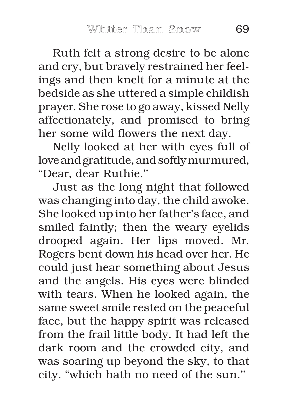Ruth felt a strong desire to be alone and cry, but bravely restrained her feelings and then knelt for a minute at the bedside as she uttered a simple childish prayer. She rose to go away, kissed Nelly affectionately, and promised to bring her some wild flowers the next day.

Nelly looked at her with eyes full of love and gratitude, and softly murmured, "Dear, dear Ruthie.''

Just as the long night that followed was changing into day, the child awoke. She looked up into her father's face, and smiled faintly; then the weary eyelids drooped again. Her lips moved. Mr. Rogers bent down his head over her. He could just hear something about Jesus and the angels. His eyes were blinded with tears. When he looked again, the same sweet smile rested on the peaceful face, but the happy spirit was released from the frail little body. It had left the dark room and the crowded city, and was soaring up beyond the sky, to that city, "which hath no need of the sun.''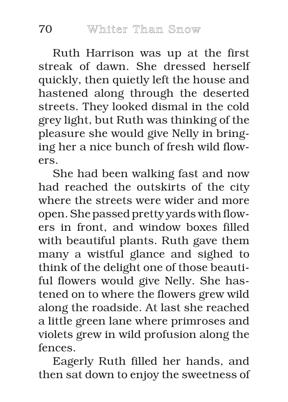Ruth Harrison was up at the first streak of dawn. She dressed herself quickly, then quietly left the house and hastened along through the deserted streets. They looked dismal in the cold grey light, but Ruth was thinking of the pleasure she would give Nelly in bringing her a nice bunch of fresh wild flowers.

She had been walking fast and now had reached the outskirts of the city where the streets were wider and more open. She passed pretty yards with flowers in front, and window boxes filled with beautiful plants. Ruth gave them many a wistful glance and sighed to think of the delight one of those beautiful flowers would give Nelly. She hastened on to where the flowers grew wild along the roadside. At last she reached a little green lane where primroses and violets grew in wild profusion along the fences.

Eagerly Ruth filled her hands, and then sat down to enjoy the sweetness of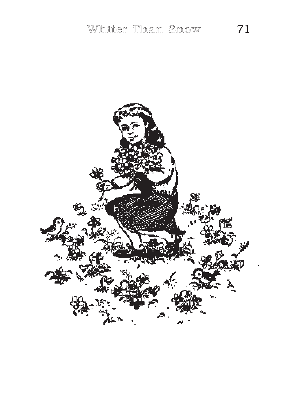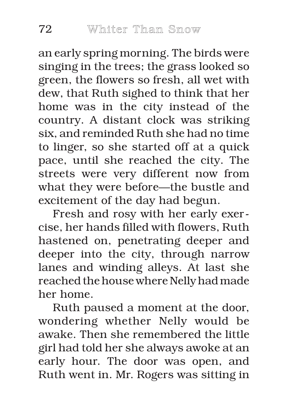an early spring morning. The birds were singing in the trees; the grass looked so green, the flowers so fresh, all wet with dew, that Ruth sighed to think that her home was in the city instead of the country. A distant clock was striking six, and reminded Ruth she had no time to linger, so she started off at a quick pace, until she reached the city. The streets were very different now from what they were before—the bustle and excitement of the day had begun.

Fresh and rosy with her early exercise, her hands filled with flowers, Ruth hastened on, penetrating deeper and deeper into the city, through narrow lanes and winding alleys. At last she reached the house where Nelly had made her home.

Ruth paused a moment at the door, wondering whether Nelly would be awake. Then she remembered the little girl had told her she always awoke at an early hour. The door was open, and Ruth went in. Mr. Rogers was sitting in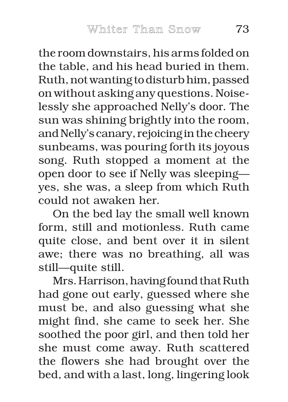the room downstairs, his arms folded on the table, and his head buried in them. Ruth, not wanting to disturb him, passed on without asking any questions. Noiselessly she approached Nelly's door. The sun was shining brightly into the room, and Nelly's canary, rejoicing in the cheery sunbeams, was pouring forth its joyous song. Ruth stopped a moment at the open door to see if Nelly was sleeping yes, she was, a sleep from which Ruth could not awaken her.

On the bed lay the small well known form, still and motionless. Ruth came quite close, and bent over it in silent awe; there was no breathing, all was still—quite still.

Mrs. Harrison, having found that Ruth had gone out early, guessed where she must be, and also guessing what she might find, she came to seek her. She soothed the poor girl, and then told her she must come away. Ruth scattered the flowers she had brought over the bed, and with a last, long, lingering look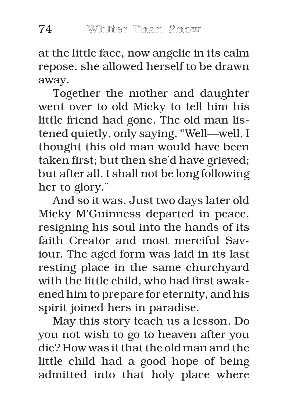at the little face, now angelic in its calm repose, she allowed herself to be drawn away.

Together the mother and daughter went over to old Micky to tell him his little friend had gone. The old man listened quietly, only saying, ''Well—well, I thought this old man would have been taken first; but then she'd have grieved; but after all, I shall not be long following her to glory."

And so it was. Just two days later old Micky M'Guinness departed in peace, resigning his soul into the hands of its faith Creator and most merciful Saviour. The aged form was laid in its last resting place in the same churchyard with the little child, who had first awakened him to prepare for eternity, and his spirit joined hers in paradise.

May this story teach us a lesson. Do you not wish to go to heaven after you die? How was it that the old man and the little child had a good hope of being admitted into that holy place where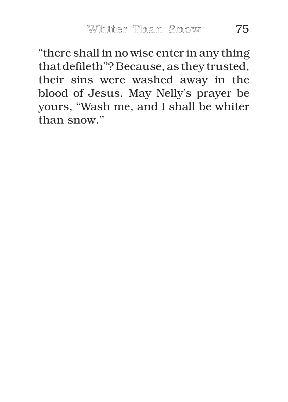"there shall in no wise enter in any thing that defileth''? Because, as they trusted, their sins were washed away in the blood of Jesus. May Nelly's prayer be yours, "Wash me, and I shall be whiter than snow.''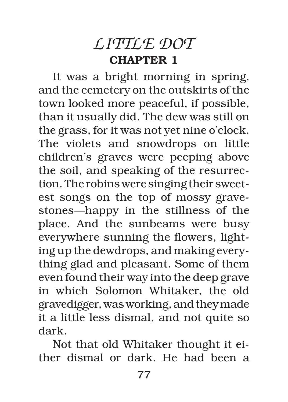# *LITTLE DOT* **CHAPTER 1**

It was a bright morning in spring, and the cemetery on the outskirts of the town looked more peaceful, if possible, than it usually did. The dew was still on the grass, for it was not yet nine o'clock. The violets and snowdrops on little children's graves were peeping above the soil, and speaking of the resurrection. The robins were singing their sweetest songs on the top of mossy gravestones—happy in the stillness of the place. And the sunbeams were busy everywhere sunning the flowers, lighting up the dewdrops, and making everything glad and pleasant. Some of them even found their way into the deep grave in which Solomon Whitaker, the old gravedigger, was working, and they made it a little less dismal, and not quite so dark.

Not that old Whitaker thought it either dismal or dark. He had been a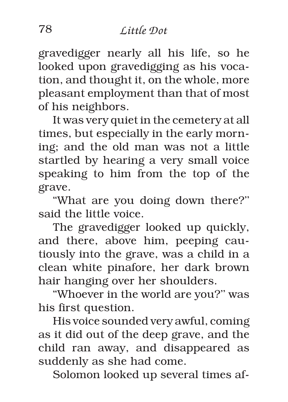gravedigger nearly all his life, so he looked upon gravedigging as his vocation, and thought it, on the whole, more pleasant employment than that of most of his neighbors.

It was very quiet in the cemetery at all times, but especially in the early morning; and the old man was not a little startled by hearing a very small voice speaking to him from the top of the grave.

"What are you doing down there?'' said the little voice.

The gravedigger looked up quickly, and there, above him, peeping cautiously into the grave, was a child in a clean white pinafore, her dark brown hair hanging over her shoulders.

"Whoever in the world are you?'' was his first question.

His voice sounded very awful, coming as it did out of the deep grave, and the child ran away, and disappeared as suddenly as she had come.

Solomon looked up several times af-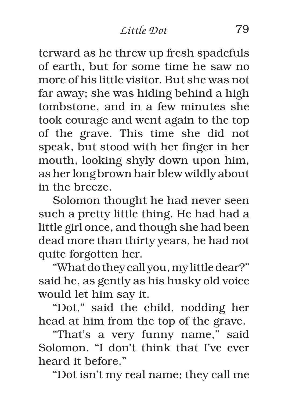terward as he threw up fresh spadefuls of earth, but for some time he saw no more of his little visitor. But she was not far away; she was hiding behind a high tombstone, and in a few minutes she took courage and went again to the top of the grave. This time she did not speak, but stood with her finger in her mouth, looking shyly down upon him, as her long brown hair blew wildly about in the breeze.

Solomon thought he had never seen such a pretty little thing. He had had a little girl once, and though she had been dead more than thirty years, he had not quite forgotten her.

"What do they call you, my little dear?" said he, as gently as his husky old voice would let him say it.

"Dot," said the child, nodding her head at him from the top of the grave.

"That's a very funny name," said Solomon. "I don't think that I've ever heard it before."

"Dot isn't my real name; they call me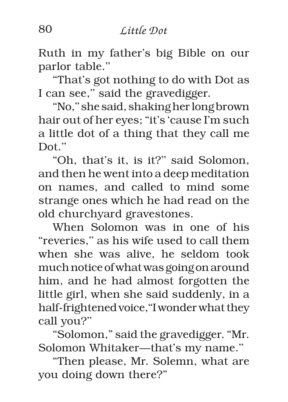Ruth in my father's big Bible on our parlor table.''

"That's got nothing to do with Dot as I can see,'' said the gravedigger.

"No,'' she said, shaking her long brown hair out of her eyes; "it's 'cause I'm such a little dot of a thing that they call me Dot.''

"Oh, that's it, is it?'' said Solomon, and then he went into a deep meditation on names, and called to mind some strange ones which he had read on the old churchyard gravestones.

When Solomon was in one of his "reveries,'' as his wife used to call them when she was alive, he seldom took much notice of what was going on around him, and he had almost forgotten the little girl, when she said suddenly, in a half-frightened voice,"I wonder what they call you?''

"Solomon," said the gravedigger. "Mr. Solomon Whitaker—that's my name.''

"Then please, Mr. Solemn, what are you doing down there?"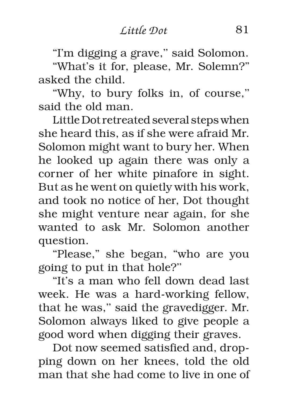*Little Dot* 81

"I'm digging a grave,'' said Solomon.

"What's it for, please, Mr. Solemn?" asked the child.

"Why, to bury folks in, of course,'' said the old man.

Little Dot retreated several steps when she heard this, as if she were afraid Mr. Solomon might want to bury her. When he looked up again there was only a corner of her white pinafore in sight. But as he went on quietly with his work, and took no notice of her, Dot thought she might venture near again, for she wanted to ask Mr. Solomon another question.

"Please," she began, "who are you going to put in that hole?''

"It's a man who fell down dead last week. He was a hard-working fellow, that he was,'' said the gravedigger. Mr. Solomon always liked to give people a good word when digging their graves.

Dot now seemed satisfied and, dropping down on her knees, told the old man that she had come to live in one of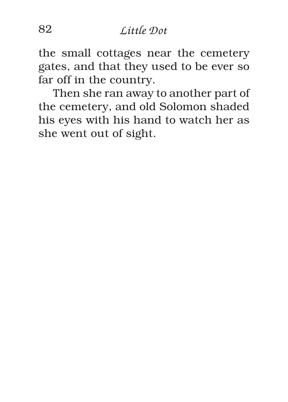the small cottages near the cemetery gates, and that they used to be ever so far off in the country.

Then she ran away to another part of the cemetery, and old Solomon shaded his eyes with his hand to watch her as she went out of sight.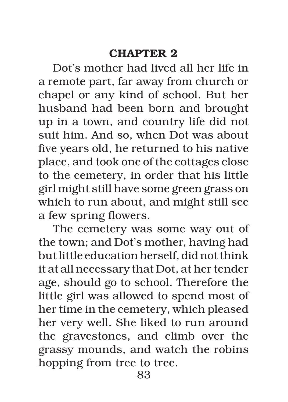### **CHAPTER 2**

Dot's mother had lived all her life in a remote part, far away from church or chapel or any kind of school. But her husband had been born and brought up in a town, and country life did not suit him. And so, when Dot was about five years old, he returned to his native place, and took one of the cottages close to the cemetery, in order that his little girl might still have some green grass on which to run about, and might still see a few spring flowers.

The cemetery was some way out of the town; and Dot's mother, having had but little education herself, did not think it at all necessary that Dot, at her tender age, should go to school. Therefore the little girl was allowed to spend most of her time in the cemetery, which pleased her very well. She liked to run around the gravestones, and climb over the grassy mounds, and watch the robins hopping from tree to tree.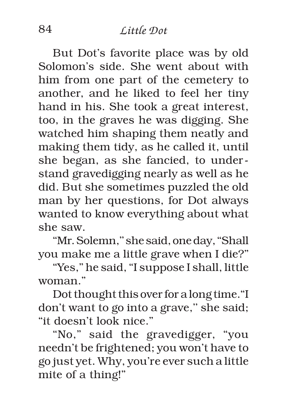### 84 *Little Dot*

But Dot's favorite place was by old Solomon's side. She went about with him from one part of the cemetery to another, and he liked to feel her tiny hand in his. She took a great interest, too, in the graves he was digging. She watched him shaping them neatly and making them tidy, as he called it, until she began, as she fancied, to understand gravedigging nearly as well as he did. But she sometimes puzzled the old man by her questions, for Dot always wanted to know everything about what she saw.

"Mr. Solemn,'' she said, one day, "Shall you make me a little grave when I die?"

"Yes," he said, "I suppose I shall, little woman."

Dot thought this over for a long time."I don't want to go into a grave,'' she said; "it doesn't look nice."

"No," said the gravedigger, "you needn't be frightened; you won't have to go just yet. Why, you're ever such a little mite of a thing!"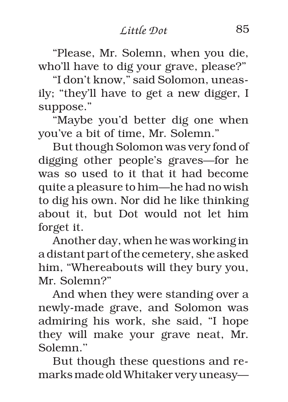*Little Dot* 85

"Please, Mr. Solemn, when you die, who'll have to dig your grave, please?"

"I don't know," said Solomon, uneasily; "they'll have to get a new digger, I suppose."

"Maybe you'd better dig one when you've a bit of time, Mr. Solemn."

But though Solomon was very fond of digging other people's graves—for he was so used to it that it had become quite a pleasure to him—he had no wish to dig his own. Nor did he like thinking about it, but Dot would not let him forget it.

Another day, when he was working in a distant part of the cemetery, she asked him, "Whereabouts will they bury you, Mr. Solemn?"

And when they were standing over a newly-made grave, and Solomon was admiring his work, she said, "I hope they will make your grave neat, Mr. Solemn.''

But though these questions and remarks made old Whitaker very uneasy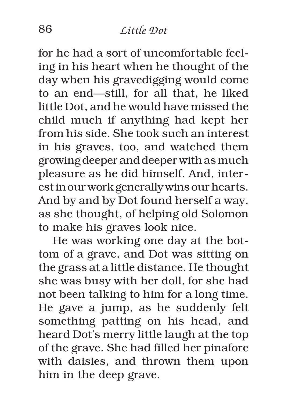for he had a sort of uncomfortable feeling in his heart when he thought of the day when his gravedigging would come to an end—still, for all that, he liked little Dot, and he would have missed the child much if anything had kept her from his side. She took such an interest in his graves, too, and watched them growing deeper and deeper with as much pleasure as he did himself. And, interest in our work generally wins our hearts. And by and by Dot found herself a way, as she thought, of helping old Solomon to make his graves look nice.

He was working one day at the bottom of a grave, and Dot was sitting on the grass at a little distance. He thought she was busy with her doll, for she had not been talking to him for a long time. He gave a jump, as he suddenly felt something patting on his head, and heard Dot's merry little laugh at the top of the grave. She had filled her pinafore with daisies, and thrown them upon him in the deep grave.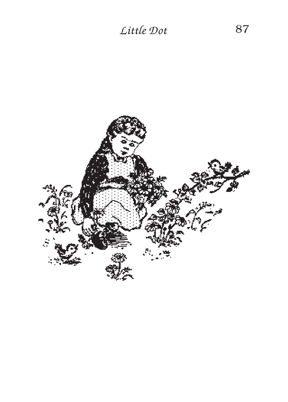## *Little Dot* 87

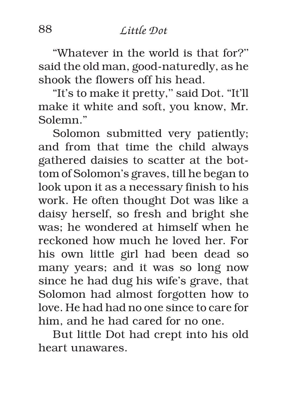"Whatever in the world is that for?'' said the old man, good-naturedly, as he shook the flowers off his head.

"It's to make it pretty,'' said Dot. "It'll make it white and soft, you know, Mr. Solemn."

Solomon submitted very patiently; and from that time the child always gathered daisies to scatter at the bottom of Solomon's graves, till he began to look upon it as a necessary finish to his work. He often thought Dot was like a daisy herself, so fresh and bright she was; he wondered at himself when he reckoned how much he loved her. For his own little girl had been dead so many years; and it was so long now since he had dug his wife's grave, that Solomon had almost forgotten how to love. He had had no one since to care for him, and he had cared for no one.

But little Dot had crept into his old heart unawares.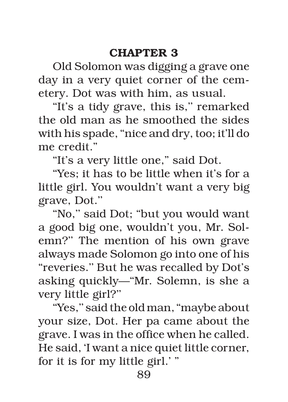### **CHAPTER 3**

Old Solomon was digging a grave one day in a very quiet corner of the cemetery. Dot was with him, as usual.

"It's a tidy grave, this is,'' remarked the old man as he smoothed the sides with his spade, "nice and dry, too; it'll do me credit."

"It's a very little one," said Dot.

"Yes; it has to be little when it's for a little girl. You wouldn't want a very big grave, Dot.''

"No,'' said Dot; "but you would want a good big one, wouldn't you, Mr. Solemn?'' The mention of his own grave always made Solomon go into one of his "reveries.'' But he was recalled by Dot's asking quickly—"Mr. Solemn, is she a very little girl?''

"Yes,'' said the old man, "maybe about your size, Dot. Her pa came about the grave. I was in the office when he called. He said, 'I want a nice quiet little corner, for it is for my little girl.' "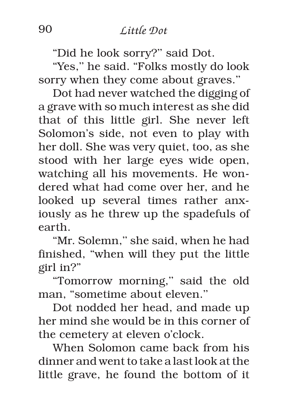"Did he look sorry?'' said Dot.

"Yes,'' he said. "Folks mostly do look sorry when they come about graves.''

Dot had never watched the digging of a grave with so much interest as she did that of this little girl. She never left Solomon's side, not even to play with her doll. She was very quiet, too, as she stood with her large eyes wide open, watching all his movements. He wondered what had come over her, and he looked up several times rather anxiously as he threw up the spadefuls of earth.

"Mr. Solemn,'' she said, when he had finished, "when will they put the little girl in?"

"Tomorrow morning,'' said the old man, "sometime about eleven.''

Dot nodded her head, and made up her mind she would be in this corner of the cemetery at eleven o'clock.

When Solomon came back from his dinner and went to take a last look at the little grave, he found the bottom of it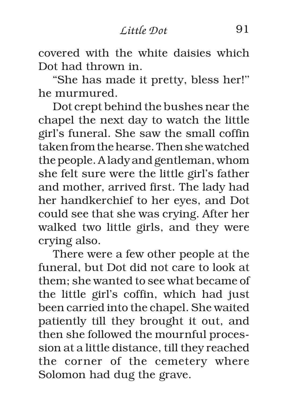covered with the white daisies which Dot had thrown in.

"She has made it pretty, bless her!'' he murmured.

Dot crept behind the bushes near the chapel the next day to watch the little girl's funeral. She saw the small coffin taken from the hearse. Then she watched the people. A lady and gentleman, whom she felt sure were the little girl's father and mother, arrived first. The lady had her handkerchief to her eyes, and Dot could see that she was crying. After her walked two little girls, and they were crying also.

There were a few other people at the funeral, but Dot did not care to look at them; she wanted to see what became of the little girl's coffin, which had just been carried into the chapel. She waited patiently till they brought it out, and then she followed the mournful procession at a little distance, till they reached the corner of the cemetery where Solomon had dug the grave.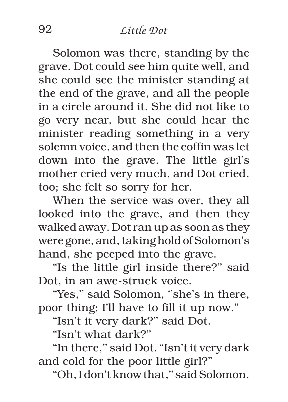#### 92 *Little Dot*

Solomon was there, standing by the grave. Dot could see him quite well, and she could see the minister standing at the end of the grave, and all the people in a circle around it. She did not like to go very near, but she could hear the minister reading something in a very solemn voice, and then the coffin was let down into the grave. The little girl's mother cried very much, and Dot cried, too; she felt so sorry for her.

When the service was over, they all looked into the grave, and then they walked away. Dot ran up as soon as they were gone, and, taking hold of Solomon's hand, she peeped into the grave.

"Is the little girl inside there?'' said Dot, in an awe-struck voice.

"Yes,'' said Solomon, ''she's in there, poor thing; I'll have to fill it up now."

"Isn't it very dark?'' said Dot.

"Isn't what dark?''

"In there,'' said Dot. "Isn't it very dark and cold for the poor little girl?"

"Oh, I don't know that,'' said Solomon.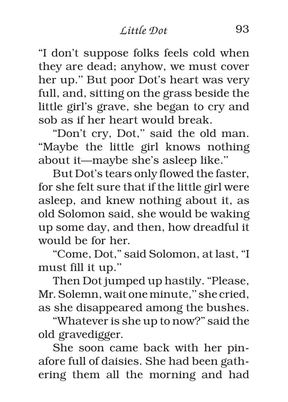"I don't suppose folks feels cold when they are dead; anyhow, we must cover her up.'' But poor Dot's heart was very full, and, sitting on the grass beside the little girl's grave, she began to cry and sob as if her heart would break.

"Don't cry, Dot,'' said the old man. "Maybe the little girl knows nothing about it—maybe she's asleep like.''

But Dot's tears only flowed the faster, for she felt sure that if the little girl were asleep, and knew nothing about it, as old Solomon said, she would be waking up some day, and then, how dreadful it would be for her.

"Come, Dot," said Solomon, at last, "I must fill it up.''

Then Dot jumped up hastily. "Please, Mr. Solemn, wait one minute," she cried, as she disappeared among the bushes.

"Whatever is she up to now?" said the old gravedigger.

She soon came back with her pinafore full of daisies. She had been gathering them all the morning and had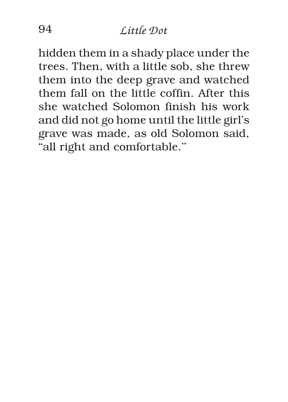hidden them in a shady place under the trees. Then, with a little sob, she threw them into the deep grave and watched them fall on the little coffin. After this she watched Solomon finish his work and did not go home until the little girl's grave was made, as old Solomon said, "all right and comfortable.''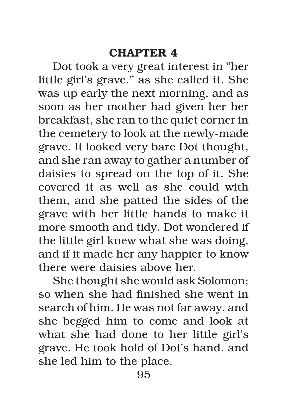Dot took a very great interest in "her little girl's grave,'' as she called it. She was up early the next morning, and as soon as her mother had given her her breakfast, she ran to the quiet corner in the cemetery to look at the newly-made grave. It looked very bare Dot thought, and she ran away to gather a number of daisies to spread on the top of it. She covered it as well as she could with them, and she patted the sides of the grave with her little hands to make it more smooth and tidy. Dot wondered if the little girl knew what she was doing, and if it made her any happier to know there were daisies above her.

She thought she would ask Solomon; so when she had finished she went in search of him. He was not far away, and she begged him to come and look at what she had done to her little girl's grave. He took hold of Dot's hand, and she led him to the place.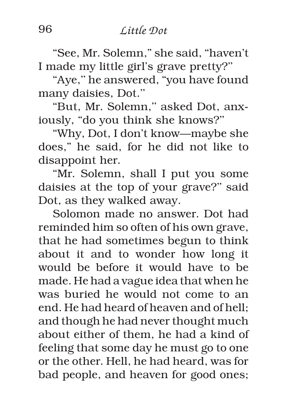"See, Mr. Solemn," she said, "haven't I made my little girl's grave pretty?''

"Aye,'' he answered, "you have found many daisies, Dot.''

"But, Mr. Solemn,'' asked Dot, anxiously, "do you think she knows?''

"Why, Dot, I don't know—maybe she does," he said, for he did not like to disappoint her.

"Mr. Solemn, shall I put you some daisies at the top of your grave?'' said Dot, as they walked away.

Solomon made no answer. Dot had reminded him so often of his own grave, that he had sometimes begun to think about it and to wonder how long it would be before it would have to be made. He had a vague idea that when he was buried he would not come to an end. He had heard of heaven and of hell; and though he had never thought much about either of them, he had a kind of feeling that some day he must go to one or the other. Hell, he had heard, was for bad people, and heaven for good ones;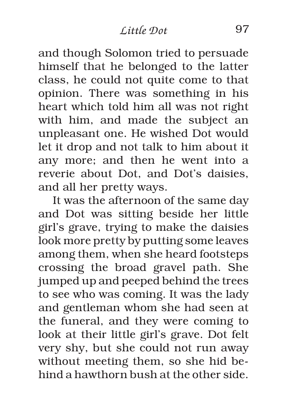and though Solomon tried to persuade himself that he belonged to the latter class, he could not quite come to that opinion. There was something in his heart which told him all was not right with him, and made the subject an unpleasant one. He wished Dot would let it drop and not talk to him about it any more; and then he went into a reverie about Dot, and Dot's daisies, and all her pretty ways.

It was the afternoon of the same day and Dot was sitting beside her little girl's grave, trying to make the daisies look more pretty by putting some leaves among them, when she heard footsteps crossing the broad gravel path. She jumped up and peeped behind the trees to see who was coming. It was the lady and gentleman whom she had seen at the funeral, and they were coming to look at their little girl's grave. Dot felt very shy, but she could not run away without meeting them, so she hid behind a hawthorn bush at the other side.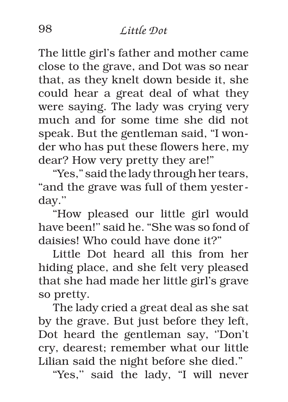The little girl's father and mother came close to the grave, and Dot was so near that, as they knelt down beside it, she could hear a great deal of what they were saying. The lady was crying very much and for some time she did not speak. But the gentleman said, "I wonder who has put these flowers here, my dear? How very pretty they are!"

"Yes," said the lady through her tears, "and the grave was full of them yesterday.''

"How pleased our little girl would have been!'' said he. "She was so fond of daisies! Who could have done it?"

Little Dot heard all this from her hiding place, and she felt very pleased that she had made her little girl's grave so pretty.

The lady cried a great deal as she sat by the grave. But just before they left, Dot heard the gentleman say, ''Don't cry, dearest; remember what our little Lilian said the night before she died."

"Yes,'' said the lady, "I will never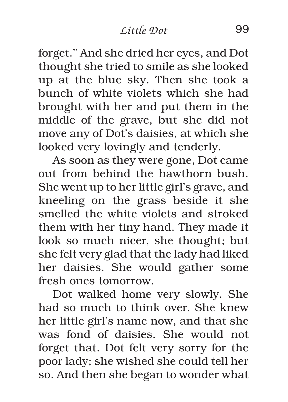forget.'' And she dried her eyes, and Dot thought she tried to smile as she looked up at the blue sky. Then she took a bunch of white violets which she had brought with her and put them in the middle of the grave, but she did not move any of Dot's daisies, at which she looked very lovingly and tenderly.

As soon as they were gone, Dot came out from behind the hawthorn bush. She went up to her little girl's grave, and kneeling on the grass beside it she smelled the white violets and stroked them with her tiny hand. They made it look so much nicer, she thought; but she felt very glad that the lady had liked her daisies. She would gather some fresh ones tomorrow.

Dot walked home very slowly. She had so much to think over. She knew her little girl's name now, and that she was fond of daisies. She would not forget that. Dot felt very sorry for the poor lady; she wished she could tell her so. And then she began to wonder what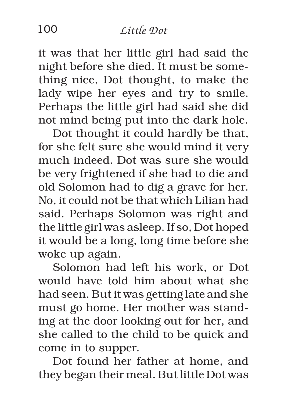it was that her little girl had said the night before she died. It must be something nice, Dot thought, to make the lady wipe her eyes and try to smile. Perhaps the little girl had said she did not mind being put into the dark hole.

Dot thought it could hardly be that, for she felt sure she would mind it very much indeed. Dot was sure she would be very frightened if she had to die and old Solomon had to dig a grave for her. No, it could not be that which Lilian had said. Perhaps Solomon was right and the little girl was asleep. If so, Dot hoped it would be a long, long time before she woke up again.

Solomon had left his work, or Dot would have told him about what she had seen. But it was getting late and she must go home. Her mother was standing at the door looking out for her, and she called to the child to be quick and come in to supper.

Dot found her father at home, and they began their meal. But little Dot was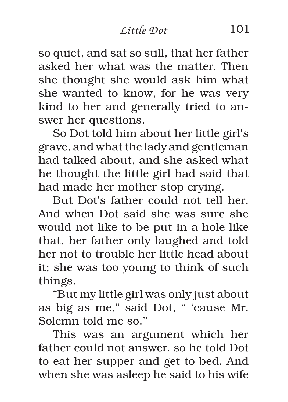*Little Dot* 101

so quiet, and sat so still, that her father asked her what was the matter. Then she thought she would ask him what she wanted to know, for he was very kind to her and generally tried to answer her questions.

So Dot told him about her little girl's grave, and what the lady and gentleman had talked about, and she asked what he thought the little girl had said that had made her mother stop crying.

But Dot's father could not tell her. And when Dot said she was sure she would not like to be put in a hole like that, her father only laughed and told her not to trouble her little head about it; she was too young to think of such things.

"But my little girl was only just about as big as me," said Dot, " 'cause Mr. Solemn told me so.''

This was an argument which her father could not answer, so he told Dot to eat her supper and get to bed. And when she was asleep he said to his wife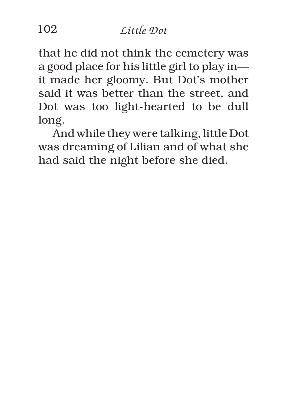that he did not think the cemetery was a good place for his little girl to play in it made her gloomy. But Dot's mother said it was better than the street, and Dot was too light-hearted to be dull long.

And while they were talking, little Dot was dreaming of Lilian and of what she had said the night before she died.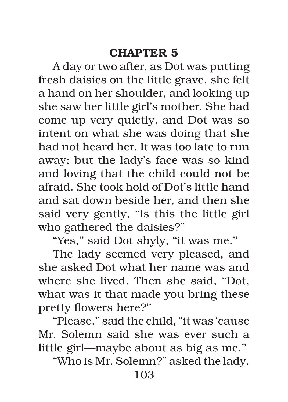### **CHAPTER 5**

A day or two after, as Dot was putting fresh daisies on the little grave, she felt a hand on her shoulder, and looking up she saw her little girl's mother. She had come up very quietly, and Dot was so intent on what she was doing that she had not heard her. It was too late to run away; but the lady's face was so kind and loving that the child could not be afraid. She took hold of Dot's little hand and sat down beside her, and then she said very gently, "Is this the little girl who gathered the daisies?"

"Yes,'' said Dot shyly, "it was me.''

The lady seemed very pleased, and she asked Dot what her name was and where she lived. Then she said, "Dot, what was it that made you bring these pretty flowers here?''

"Please,'' said the child, "it was 'cause Mr. Solemn said she was ever such a little girl—maybe about as big as me.''

"Who is Mr. Solemn?" asked the lady.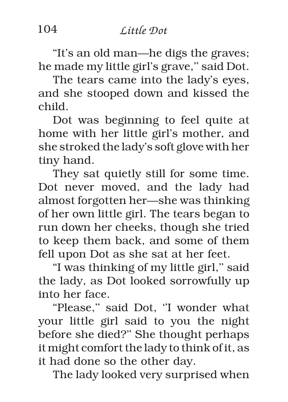"It's an old man—he digs the graves; he made my little girl's grave,'' said Dot.

The tears came into the lady's eyes, and she stooped down and kissed the child.

Dot was beginning to feel quite at home with her little girl's mother, and she stroked the lady's soft glove with her tiny hand.

They sat quietly still for some time. Dot never moved, and the lady had almost forgotten her—she was thinking of her own little girl. The tears began to run down her cheeks, though she tried to keep them back, and some of them fell upon Dot as she sat at her feet.

"I was thinking of my little girl,'' said the lady, as Dot looked sorrowfully up into her face.

"Please,'' said Dot, ''I wonder what your little girl said to you the night before she died?'' She thought perhaps it might comfort the lady to think of it, as it had done so the other day.

The lady looked very surprised when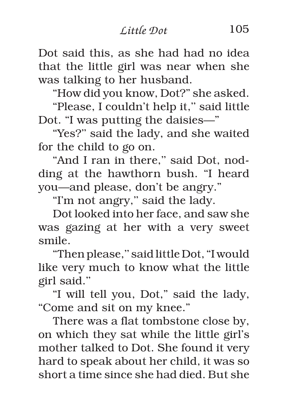Dot said this, as she had had no idea that the little girl was near when she was talking to her husband.

"How did you know, Dot?" she asked.

"Please, I couldn't help it,'' said little Dot. "I was putting the daisies—"

"Yes?'' said the lady, and she waited for the child to go on.

"And I ran in there," said Dot, nodding at the hawthorn bush. "I heard you—and please, don't be angry."

"I'm not angry,'' said the lady.

Dot looked into her face, and saw she was gazing at her with a very sweet smile.

"Then please,'' said little Dot, "I would like very much to know what the little girl said.''

"I will tell you, Dot," said the lady, "Come and sit on my knee."

There was a flat tombstone close by, on which they sat while the little girl's mother talked to Dot. She found it very hard to speak about her child, it was so short a time since she had died. But she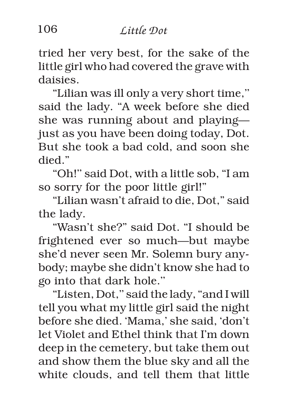tried her very best, for the sake of the little girl who had covered the grave with daisies.

"Lilian was ill only a very short time,'' said the lady. "A week before she died she was running about and playing just as you have been doing today, Dot. But she took a bad cold, and soon she died."

"Oh!'' said Dot, with a little sob, "I am so sorry for the poor little girl!"

"Lilian wasn't afraid to die, Dot," said the lady.

"Wasn't she?" said Dot. "I should be frightened ever so much—but maybe she'd never seen Mr. Solemn bury anybody; maybe she didn't know she had to go into that dark hole.''

"Listen, Dot,'' said the lady, "and I will tell you what my little girl said the night before she died. 'Mama,' she said, 'don't let Violet and Ethel think that I'm down deep in the cemetery, but take them out and show them the blue sky and all the white clouds, and tell them that little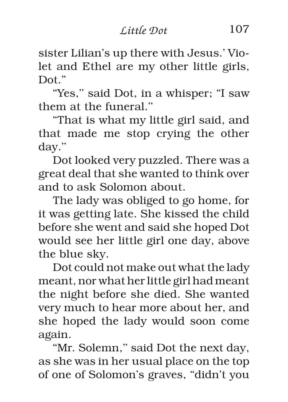sister Lilian's up there with Jesus.' Violet and Ethel are my other little girls, Dot."

"Yes,'' said Dot, in a whisper; "I saw them at the funeral.''

"That is what my little girl said, and that made me stop crying the other day.''

Dot looked very puzzled. There was a great deal that she wanted to think over and to ask Solomon about.

The lady was obliged to go home, for it was getting late. She kissed the child before she went and said she hoped Dot would see her little girl one day, above the blue sky.

Dot could not make out what the lady meant, nor what her little girl had meant the night before she died. She wanted very much to hear more about her, and she hoped the lady would soon come again.

"Mr. Solemn,'' said Dot the next day, as she was in her usual place on the top of one of Solomon's graves, "didn't you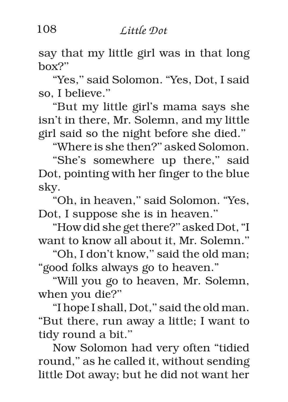say that my little girl was in that long box?''

"Yes,'' said Solomon. "Yes, Dot, I said so, I believe.''

"But my little girl's mama says she isn't in there, Mr. Solemn, and my little girl said so the night before she died.''

"Where is she then?'' asked Solomon.

"She's somewhere up there,'' said Dot, pointing with her finger to the blue sky.

"Oh, in heaven,'' said Solomon. "Yes, Dot, I suppose she is in heaven.''

"How did she get there?'' asked Dot, "I want to know all about it, Mr. Solemn.''

"Oh, I don't know,'' said the old man; "good folks always go to heaven."

"Will you go to heaven, Mr. Solemn, when you die?''

"I hope I shall, Dot,'' said the old man. "But there, run away a little; I want to tidy round a bit.''

Now Solomon had very often "tidied round,'' as he called it, without sending little Dot away; but he did not want her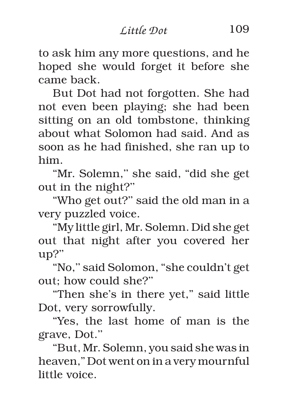*Little Dot* 109

to ask him any more questions, and he hoped she would forget it before she came back.

But Dot had not forgotten. She had not even been playing; she had been sitting on an old tombstone, thinking about what Solomon had said. And as soon as he had finished, she ran up to him.

"Mr. Solemn,'' she said, "did she get out in the night?''

"Who get out?'' said the old man in a very puzzled voice.

"My little girl, Mr. Solemn. Did she get out that night after you covered her up?''

"No,'' said Solomon, "she couldn't get out; how could she?''

"Then she's in there yet," said little Dot, very sorrowfully.

"Yes, the last home of man is the grave, Dot.''

"But, Mr. Solemn, you said she was in heaven," Dot went on in a very mournful little voice.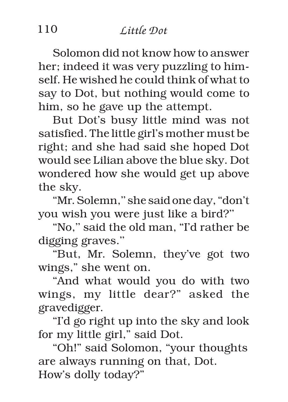Solomon did not know how to answer her; indeed it was very puzzling to himself. He wished he could think of what to say to Dot, but nothing would come to him, so he gave up the attempt.

But Dot's busy little mind was not satisfied. The little girl's mother must be right; and she had said she hoped Dot would see Lilian above the blue sky. Dot wondered how she would get up above the sky.

"Mr. Solemn,'' she said one day, "don't you wish you were just like a bird?''

"No,'' said the old man, "I'd rather be digging graves.''

"But, Mr. Solemn, they've got two wings," she went on.

"And what would you do with two wings, my little dear?" asked the gravedigger.

"I'd go right up into the sky and look for my little girl," said Dot.

"Oh!" said Solomon, "your thoughts are always running on that, Dot. How's dolly today?"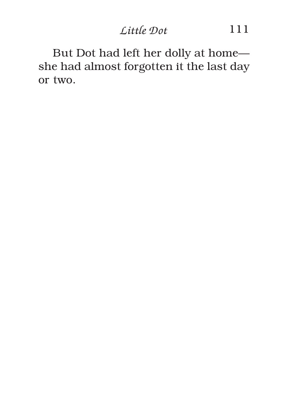But Dot had left her dolly at home she had almost forgotten it the last day or two.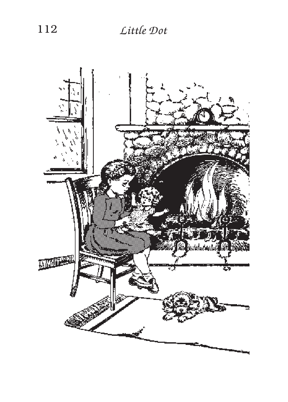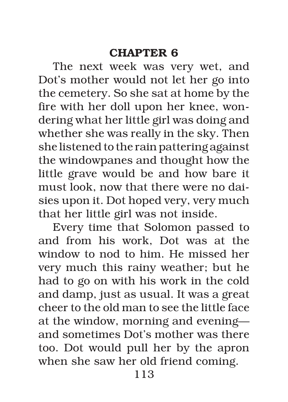The next week was very wet, and Dot's mother would not let her go into the cemetery. So she sat at home by the fire with her doll upon her knee, wondering what her little girl was doing and whether she was really in the sky. Then she listened to the rain pattering against the windowpanes and thought how the little grave would be and how bare it must look, now that there were no daisies upon it. Dot hoped very, very much that her little girl was not inside.

Every time that Solomon passed to and from his work, Dot was at the window to nod to him. He missed her very much this rainy weather; but he had to go on with his work in the cold and damp, just as usual. It was a great cheer to the old man to see the little face at the window, morning and evening and sometimes Dot's mother was there too. Dot would pull her by the apron when she saw her old friend coming.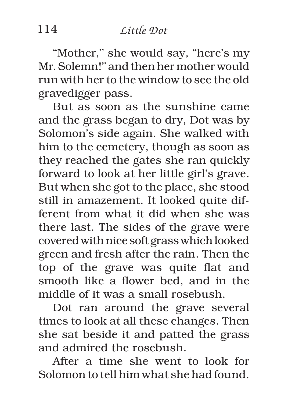"Mother,'' she would say, "here's my Mr. Solemn!'' and then her mother would run with her to the window to see the old gravedigger pass.

But as soon as the sunshine came and the grass began to dry, Dot was by Solomon's side again. She walked with him to the cemetery, though as soon as they reached the gates she ran quickly forward to look at her little girl's grave. But when she got to the place, she stood still in amazement. It looked quite different from what it did when she was there last. The sides of the grave were covered with nice soft grass which looked green and fresh after the rain. Then the top of the grave was quite flat and smooth like a flower bed, and in the middle of it was a small rosebush.

Dot ran around the grave several times to look at all these changes. Then she sat beside it and patted the grass and admired the rosebush.

After a time she went to look for Solomon to tell him what she had found.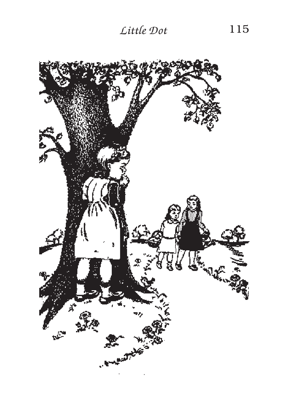*Little Dot* 115

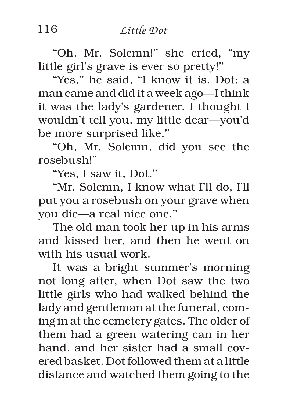"Oh, Mr. Solemn!'' she cried, "my little girl's grave is ever so pretty!''

"Yes,'' he said, "I know it is, Dot; a man came and did it a week ago—I think it was the lady's gardener. I thought I wouldn't tell you, my little dear—you'd be more surprised like.''

"Oh, Mr. Solemn, did you see the rosebush!"

"Yes, I saw it, Dot.''

"Mr. Solemn, I know what I'll do, I'll put you a rosebush on your grave when you die—a real nice one.''

The old man took her up in his arms and kissed her, and then he went on with his usual work.

It was a bright summer's morning not long after, when Dot saw the two little girls who had walked behind the lady and gentleman at the funeral, coming in at the cemetery gates. The older of them had a green watering can in her hand, and her sister had a small covered basket. Dot followed them at a little distance and watched them going to the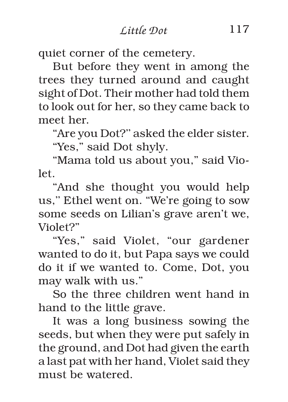quiet corner of the cemetery.

But before they went in among the trees they turned around and caught sight of Dot. Their mother had told them to look out for her, so they came back to meet her.

"Are you Dot?'' asked the elder sister.

"Yes," said Dot shyly.

"Mama told us about you," said Violet.

"And she thought you would help us,'' Ethel went on. "We're going to sow some seeds on Lilian's grave aren't we, Violet?"

"Yes," said Violet, "our gardener wanted to do it, but Papa says we could do it if we wanted to. Come, Dot, you may walk with us."

So the three children went hand in hand to the little grave.

It was a long business sowing the seeds, but when they were put safely in the ground, and Dot had given the earth a last pat with her hand, Violet said they must be watered.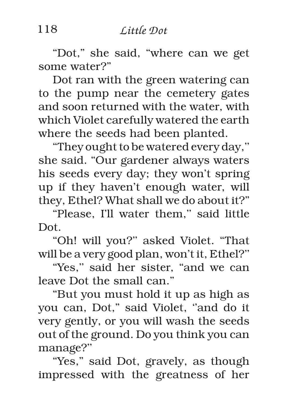"Dot," she said, "where can we get some water?"

Dot ran with the green watering can to the pump near the cemetery gates and soon returned with the water, with which Violet carefully watered the earth where the seeds had been planted.

"They ought to be watered every day,'' she said. "Our gardener always waters his seeds every day; they won't spring up if they haven't enough water, will they, Ethel? What shall we do about it?"

"Please, I'll water them,'' said little Dot.

"Oh! will you?'' asked Violet. "That will be a very good plan, won't it, Ethel?''

"Yes,'' said her sister, "and we can leave Dot the small can."

"But you must hold it up as high as you can, Dot," said Violet, ''and do it very gently, or you will wash the seeds out of the ground. Do you think you can manage?''

"Yes," said Dot, gravely, as though impressed with the greatness of her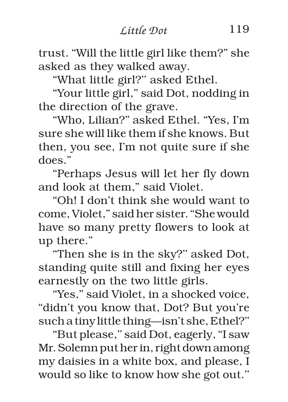trust. "Will the little girl like them?" she asked as they walked away.

"What little girl?'' asked Ethel.

"Your little girl," said Dot, nodding in the direction of the grave.

"Who, Lilian?" asked Ethel. "Yes, I'm sure she will like them if she knows. But then, you see, I'm not quite sure if she does."

"Perhaps Jesus will let her fly down and look at them," said Violet.

"Oh! I don't think she would want to come, Violet," said her sister. "She would have so many pretty flowers to look at up there."

"Then she is in the sky?'' asked Dot, standing quite still and fixing her eyes earnestly on the two little girls.

"Yes," said Violet, in a shocked voice, "didn't you know that, Dot? But you're such a tiny little thing—isn't she, Ethel?''

"But please,'' said Dot, eagerly, "I saw Mr. Solemn put her in, right down among my daisies in a white box, and please, I would so like to know how she got out.''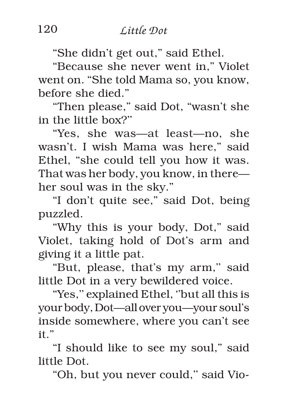"She didn't get out," said Ethel.

"Because she never went in," Violet went on. "She told Mama so, you know, before she died."

"Then please," said Dot, "wasn't she in the little box?''

"Yes, she was—at least—no, she wasn't. I wish Mama was here," said Ethel, "she could tell you how it was. That was her body, you know, in there her soul was in the sky."

"I don't quite see," said Dot, being puzzled.

"Why this is your body, Dot," said Violet, taking hold of Dot's arm and giving it a little pat.

"But, please, that's my arm,'' said little Dot in a very bewildered voice.

"Yes,'' explained Ethel, ''but all this is your body, Dot—all over you—your soul's inside somewhere, where you can't see it."

"I should like to see my soul," said little Dot.

"Oh, but you never could,'' said Vio-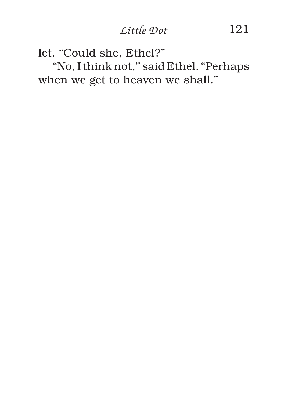let. "Could she, Ethel?" "No, I think not,'' said Ethel. "Perhaps when we get to heaven we shall."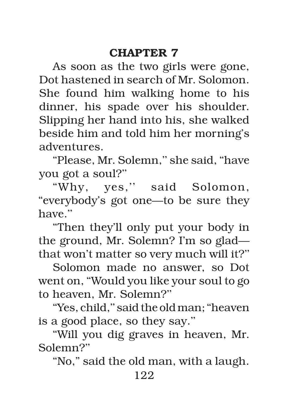As soon as the two girls were gone, Dot hastened in search of Mr. Solomon. She found him walking home to his dinner, his spade over his shoulder. Slipping her hand into his, she walked beside him and told him her morning's adventures.

"Please, Mr. Solemn,'' she said, "have you got a soul?''

"Why, yes,'' said Solomon, "everybody's got one—to be sure they have.''

"Then they'll only put your body in the ground, Mr. Solemn? I'm so glad that won't matter so very much will it?''

Solomon made no answer, so Dot went on, "Would you like your soul to go to heaven, Mr. Solemn?''

"Yes, child,'' said the old man; "heaven is a good place, so they say.''

"Will you dig graves in heaven, Mr. Solemn?''

"No," said the old man, with a laugh.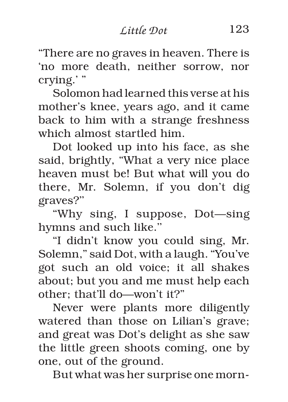"There are no graves in heaven. There is 'no more death, neither sorrow, nor crying.' "

Solomon had learned this verse at his mother's knee, years ago, and it came back to him with a strange freshness which almost startled him.

Dot looked up into his face, as she said, brightly, "What a very nice place heaven must be! But what will you do there, Mr. Solemn, if you don't dig graves?''

"Why sing, I suppose, Dot—sing hymns and such like.''

"I didn't know you could sing, Mr. Solemn," said Dot, with a laugh. "You've got such an old voice; it all shakes about; but you and me must help each other; that'll do—won't it?"

Never were plants more diligently watered than those on Lilian's grave; and great was Dot's delight as she saw the little green shoots coming, one by one, out of the ground.

But what was her surprise one morn-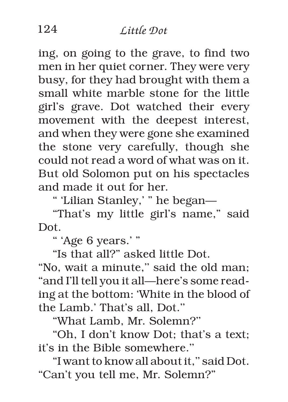ing, on going to the grave, to find two men in her quiet corner. They were very busy, for they had brought with them a small white marble stone for the little girl's grave. Dot watched their every movement with the deepest interest, and when they were gone she examined the stone very carefully, though she could not read a word of what was on it. But old Solomon put on his spectacles and made it out for her.

" 'Lilian Stanley,' " he began—

"That's my little girl's name," said Dot.

" 'Age 6 years.' "

"Is that all?" asked little Dot. "No, wait a minute,'' said the old man; "and I'll tell you it all—here's some reading at the bottom: 'White in the blood of the Lamb.' That's all, Dot.''

"What Lamb, Mr. Solemn?''

"Oh, I don't know Dot; that's a text; it's in the Bible somewhere.''

"I want to know all about it,'' said Dot. "Can't you tell me, Mr. Solemn?"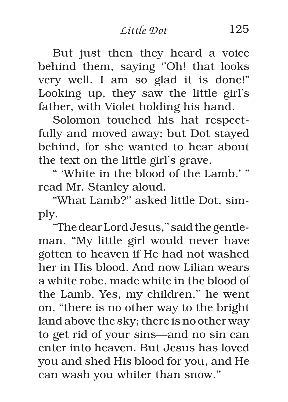But just then they heard a voice behind them, saying ''Oh! that looks very well. I am so glad it is done!" Looking up, they saw the little girl's father, with Violet holding his hand.

Solomon touched his hat respectfully and moved away; but Dot stayed behind, for she wanted to hear about the text on the little girl's grave.

" 'White in the blood of the Lamb,' " read Mr. Stanley aloud.

"What Lamb?'' asked little Dot, simply.

"The dear Lord Jesus,'' said the gentleman. "My little girl would never have gotten to heaven if He had not washed her in His blood. And now Lilian wears a white robe, made white in the blood of the Lamb. Yes, my children,'' he went on, "there is no other way to the bright land above the sky; there is no other way to get rid of your sins—and no sin can enter into heaven. But Jesus has loved you and shed His blood for you, and He can wash you whiter than snow.''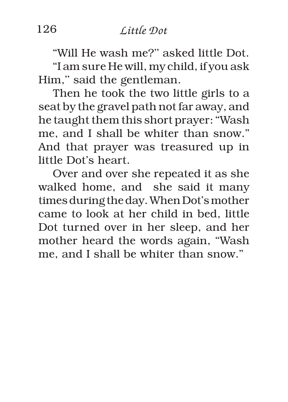"Will He wash me?'' asked little Dot.

"I am sure He will, my child, if you ask Him,'' said the gentleman.

Then he took the two little girls to a seat by the gravel path not far away, and he taught them this short prayer: "Wash me, and I shall be whiter than snow." And that prayer was treasured up in little Dot's heart.

Over and over she repeated it as she walked home, and she said it many times during the day. When Dot's mother came to look at her child in bed, little Dot turned over in her sleep, and her mother heard the words again, "Wash me, and I shall be whiter than snow."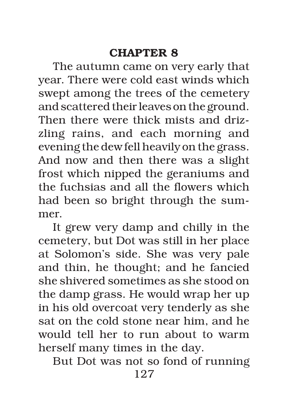## **CHAPTER 8**

The autumn came on very early that year. There were cold east winds which swept among the trees of the cemetery and scattered their leaves on the ground. Then there were thick mists and drizzling rains, and each morning and evening the dew fell heavily on the grass. And now and then there was a slight frost which nipped the geraniums and the fuchsias and all the flowers which had been so bright through the summer.

It grew very damp and chilly in the cemetery, but Dot was still in her place at Solomon's side. She was very pale and thin, he thought; and he fancied she shivered sometimes as she stood on the damp grass. He would wrap her up in his old overcoat very tenderly as she sat on the cold stone near him, and he would tell her to run about to warm herself many times in the day.

But Dot was not so fond of running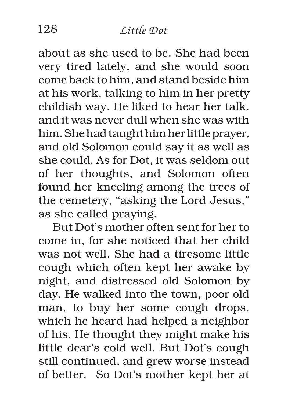about as she used to be. She had been very tired lately, and she would soon come back to him, and stand beside him at his work, talking to him in her pretty childish way. He liked to hear her talk, and it was never dull when she was with him. She had taught him her little prayer, and old Solomon could say it as well as she could. As for Dot, it was seldom out of her thoughts, and Solomon often found her kneeling among the trees of the cemetery, "asking the Lord Jesus," as she called praying.

But Dot's mother often sent for her to come in, for she noticed that her child was not well. She had a tiresome little cough which often kept her awake by night, and distressed old Solomon by day. He walked into the town, poor old man, to buy her some cough drops, which he heard had helped a neighbor of his. He thought they might make his little dear's cold well. But Dot's cough still continued, and grew worse instead of better. So Dot's mother kept her at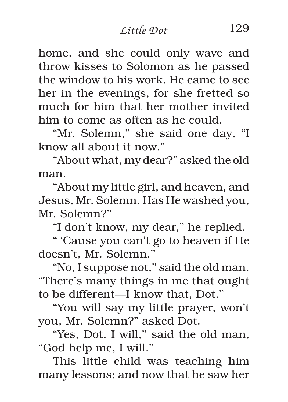home, and she could only wave and throw kisses to Solomon as he passed the window to his work. He came to see her in the evenings, for she fretted so much for him that her mother invited him to come as often as he could.

"Mr. Solemn," she said one day, "I know all about it now."

"About what, my dear?" asked the old man.

"About my little girl, and heaven, and Jesus, Mr. Solemn. Has He washed you, Mr. Solemn?''

"I don't know, my dear,'' he replied.

" 'Cause you can't go to heaven if He doesn't, Mr. Solemn.''

"No, I suppose not,'' said the old man. "There's many things in me that ought to be different—I know that, Dot.''

"You will say my little prayer, won't you, Mr. Solemn?" asked Dot.

"Yes, Dot, I will,'' said the old man, "God help me, I will.''

This little child was teaching him many lessons; and now that he saw her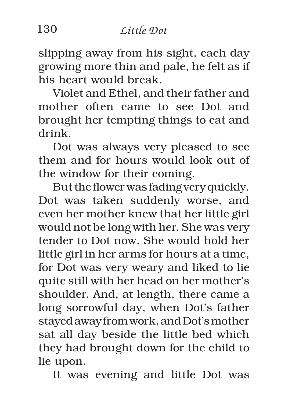slipping away from his sight, each day growing more thin and pale, he felt as if his heart would break.

Violet and Ethel, and their father and mother often came to see Dot and brought her tempting things to eat and drink.

Dot was always very pleased to see them and for hours would look out of the window for their coming.

But the flower was fading very quickly. Dot was taken suddenly worse, and even her mother knew that her little girl would not be long with her. She was very tender to Dot now. She would hold her little girl in her arms for hours at a time, for Dot was very weary and liked to lie quite still with her head on her mother's shoulder. And, at length, there came a long sorrowful day, when Dot's father stayed away from work, and Dot's mother sat all day beside the little bed which they had brought down for the child to lie upon.

It was evening and little Dot was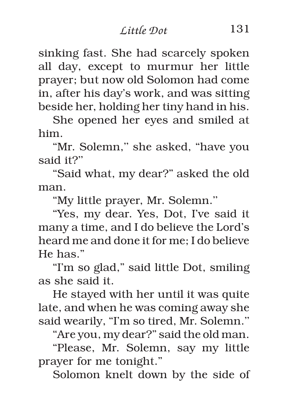sinking fast. She had scarcely spoken all day, except to murmur her little prayer; but now old Solomon had come in, after his day's work, and was sitting beside her, holding her tiny hand in his.

She opened her eyes and smiled at him.

"Mr. Solemn,'' she asked, "have you said it?''

"Said what, my dear?" asked the old man.

"My little prayer, Mr. Solemn.''

"Yes, my dear. Yes, Dot, I've said it many a time, and I do believe the Lord's heard me and done it for me; I do believe He has."

"I'm so glad," said little Dot, smiling as she said it.

He stayed with her until it was quite late, and when he was coming away she said wearily, "I'm so tired, Mr. Solemn.''

"Are you, my dear?" said the old man.

"Please, Mr. Solemn, say my little prayer for me tonight."

Solomon knelt down by the side of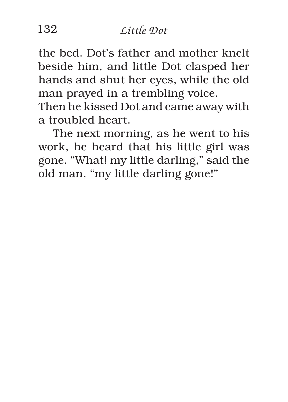the bed. Dot's father and mother knelt beside him, and little Dot clasped her hands and shut her eyes, while the old man prayed in a trembling voice.

Then he kissed Dot and came away with a troubled heart.

The next morning, as he went to his work, he heard that his little girl was gone. "What! my little darling," said the old man, "my little darling gone!"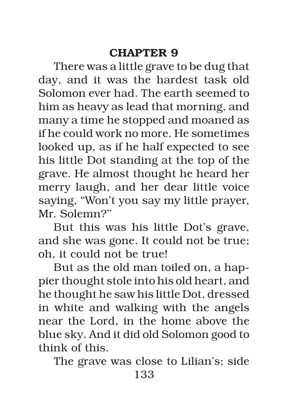## **CHAPTER 9**

There was a little grave to be dug that day, and it was the hardest task old Solomon ever had. The earth seemed to him as heavy as lead that morning, and many a time he stopped and moaned as if he could work no more. He sometimes looked up, as if he half expected to see his little Dot standing at the top of the grave. He almost thought he heard her merry laugh, and her dear little voice saying, "Won't you say my little prayer, Mr. Solemn?''

But this was his little Dot's grave, and she was gone. It could not be true; oh, it could not be true!

But as the old man toiled on, a happier thought stole into his old heart, and he thought he saw his little Dot, dressed in white and walking with the angels near the Lord, in the home above the blue sky. And it did old Solomon good to think of this.

The grave was close to Lilian's; side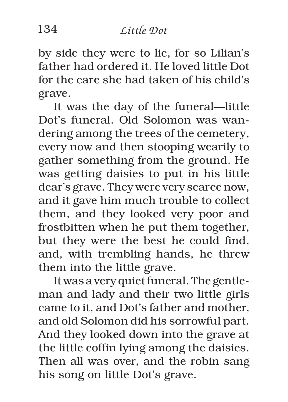by side they were to lie, for so Lilian's father had ordered it. He loved little Dot for the care she had taken of his child's grave.

It was the day of the funeral—little Dot's funeral. Old Solomon was wandering among the trees of the cemetery, every now and then stooping wearily to gather something from the ground. He was getting daisies to put in his little dear's grave. They were very scarce now, and it gave him much trouble to collect them, and they looked very poor and frostbitten when he put them together, but they were the best he could find, and, with trembling hands, he threw them into the little grave.

It was a very quiet funeral. The gentleman and lady and their two little girls came to it, and Dot's father and mother, and old Solomon did his sorrowful part. And they looked down into the grave at the little coffin lying among the daisies. Then all was over, and the robin sang his song on little Dot's grave.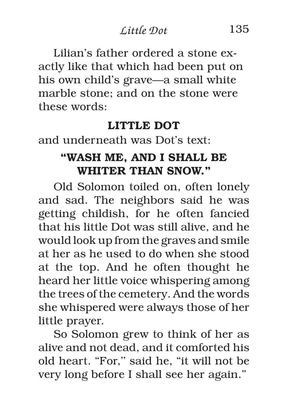*Little Dot* 135

Lilian's father ordered a stone exactly like that which had been put on his own child's grave—a small white marble stone; and on the stone were these words:

## **LITTLE DOT**

and underneath was Dot's text:

## **"WASH ME, AND I SHALL BE WHITER THAN SNOW."**

Old Solomon toiled on, often lonely and sad. The neighbors said he was getting childish, for he often fancied that his little Dot was still alive, and he would look up from the graves and smile at her as he used to do when she stood at the top. And he often thought he heard her little voice whispering among the trees of the cemetery. And the words she whispered were always those of her little prayer.

So Solomon grew to think of her as alive and not dead, and it comforted his old heart. "For,'' said he, "it will not be very long before I shall see her again."